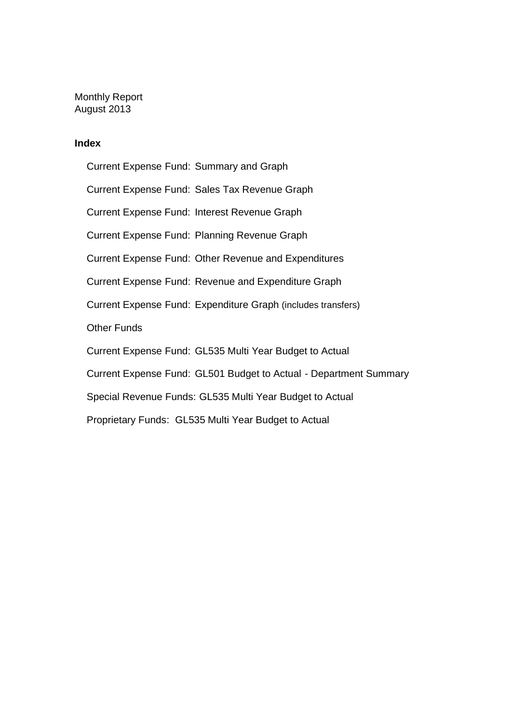Monthly Report August 2013

#### **Index**

Current Expense Fund: Summary and Graph Current Expense Fund: Sales Tax Revenue Graph Current Expense Fund: Interest Revenue Graph Current Expense Fund: Planning Revenue Graph Current Expense Fund: Other Revenue and Expenditures Current Expense Fund: Revenue and Expenditure Graph Current Expense Fund: Expenditure Graph (includes transfers) Other Funds Current Expense Fund: GL535 Multi Year Budget to Actual Current Expense Fund: GL501 Budget to Actual - Department Summary Special Revenue Funds: GL535 Multi Year Budget to Actual Proprietary Funds: GL535 Multi Year Budget to Actual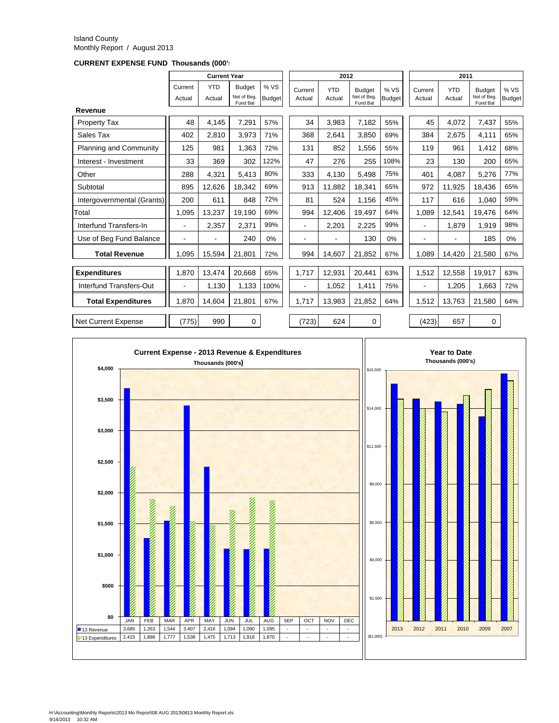#### Island County Monthly Report / August 2013

**CURRENT EXPENSE FUND Thousands (000's)**

|                               |                          | <b>Current Year</b>  |                                         |                      | 2012                     |                      |                                          |                       | 2011              |                      |                                          |                       |
|-------------------------------|--------------------------|----------------------|-----------------------------------------|----------------------|--------------------------|----------------------|------------------------------------------|-----------------------|-------------------|----------------------|------------------------------------------|-----------------------|
|                               | Current<br>Actual        | <b>YTD</b><br>Actual | <b>Budget</b><br>Net of Beg<br>Fund Bal | %VS<br><b>Budget</b> | Current<br>Actual        | <b>YTD</b><br>Actual | <b>Budget</b><br>Net of Beg.<br>Fund Bal | % VS<br><b>Budget</b> | Current<br>Actual | <b>YTD</b><br>Actual | <b>Budget</b><br>Net of Beg.<br>Fund Bal | % VS<br><b>Budget</b> |
| Revenue                       |                          |                      |                                         |                      |                          |                      |                                          |                       |                   |                      |                                          |                       |
| Property Tax                  | 48                       | 4,145                | 7,291                                   | 57%                  | 34                       | 3,983                | 7,182                                    | 55%                   | 45                | 4,072                | 7,437                                    | 55%                   |
| Sales Tax                     | 402                      | 2.810                | 3,973                                   | 71%                  | 368                      | 2.641                | 3.850                                    | 69%                   | 384               | 2.675                | 4,111                                    | 65%                   |
| <b>Planning and Community</b> | 125                      | 981                  | 1,363                                   | 72%                  | 131                      | 852                  | 1.556                                    | 55%                   | 119               | 961                  | 1,412                                    | 68%                   |
| Interest - Investment         | 33                       | 369                  | 302                                     | 122%                 | 47                       | 276                  | 255                                      | 108%                  | 23                | 130                  | 200                                      | 65%                   |
| Other                         | 288                      | 4,321                | 5,413                                   | 80%                  | 333                      | 4,130                | 5.498                                    | 75%                   | 401               | 4,087                | 5,276                                    | 77%                   |
| Subtotal                      | 895                      | 12.626               | 18.342                                  | 69%                  | 913                      | 11.882               | 18.341                                   | 65%                   | 972               | 11,925               | 18.436                                   | 65%                   |
| Intergovernmental (Grants)    | 200                      | 611                  | 848                                     | 72%                  | 81                       | 524                  | 1.156                                    | 45%                   | 117               | 616                  | 1.040                                    | 59%                   |
| Total                         | 1.095                    | 13,237               | 19.190                                  | 69%                  | 994                      | 12,406               | 19.497                                   | 64%                   | 1.089             | 12.541               | 19.476                                   | 64%                   |
| Interfund Transfers-In        | $\overline{\phantom{0}}$ | 2,357                | 2,371                                   | 99%                  |                          | 2,201                | 2,225                                    | 99%                   |                   | 1,879                | 1,919                                    | 98%                   |
| Use of Beg Fund Balance       | $\blacksquare$           |                      | 240                                     | 0%                   |                          |                      | 130                                      | 0%                    | ۰                 |                      | 185                                      | 0%                    |
| <b>Total Revenue</b>          | 1.095                    | 15,594               | 21.801                                  | 72%                  | 994                      | 14,607               | 21,852                                   | 67%                   | 1.089             | 14,420               | 21,580                                   | 67%                   |
| <b>Expenditures</b>           | 1,870                    | 13.474               | 20.668                                  | 65%                  | 1.717                    | 12.931               | 20.441                                   | 63%                   | 1,512             | 12.558               | 19.917                                   | 63%                   |
| Interfund Transfers-Out       | $\blacksquare$           | 1,130                | 1,133                                   | 100%                 | $\overline{\phantom{a}}$ | 1,052                | 1,411                                    | 75%                   | ٠                 | 1,205                | 1,663                                    | 72%                   |
| <b>Total Expenditures</b>     | 1.870                    | 14.604               | 21,801                                  | 67%                  | 1,717                    | 13,983               | 21,852                                   | 64%                   | 1,512             | 13,763               | 21,580                                   | 64%                   |
| <b>Net Current Expense</b>    | (775)                    | 990                  | 0                                       |                      | (723)                    | 624                  | 0                                        |                       | (423)             | 657                  | 0                                        |                       |

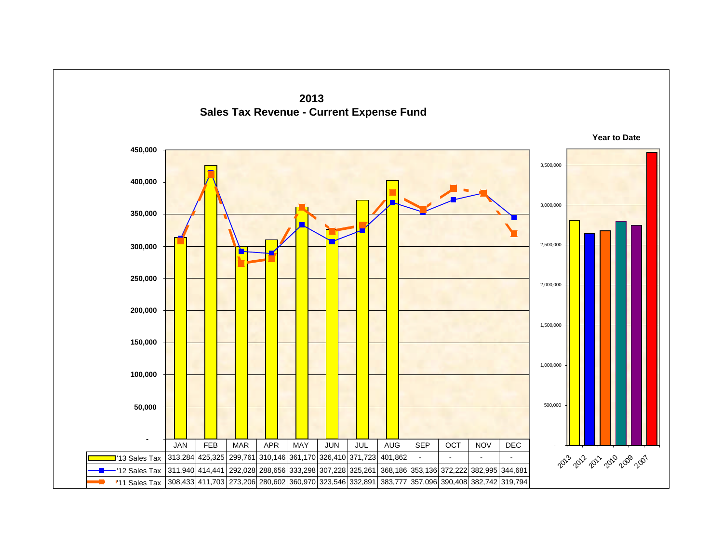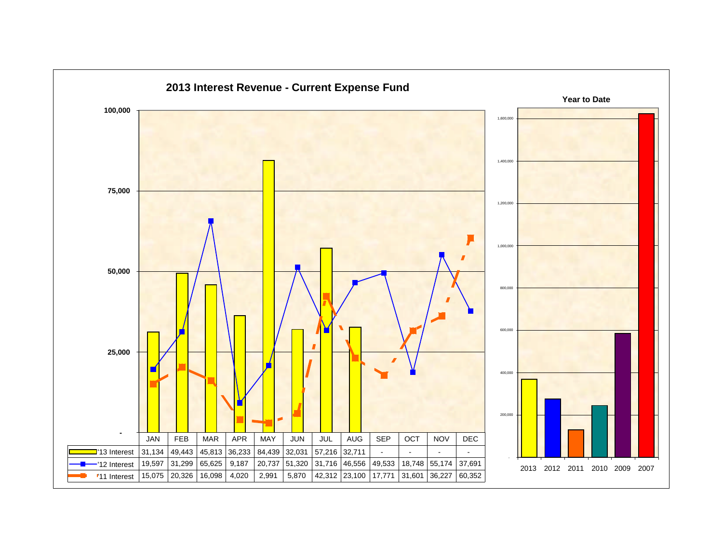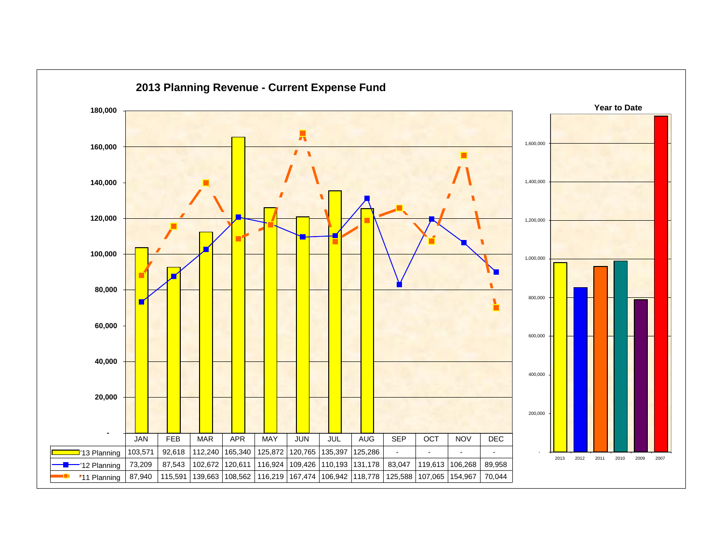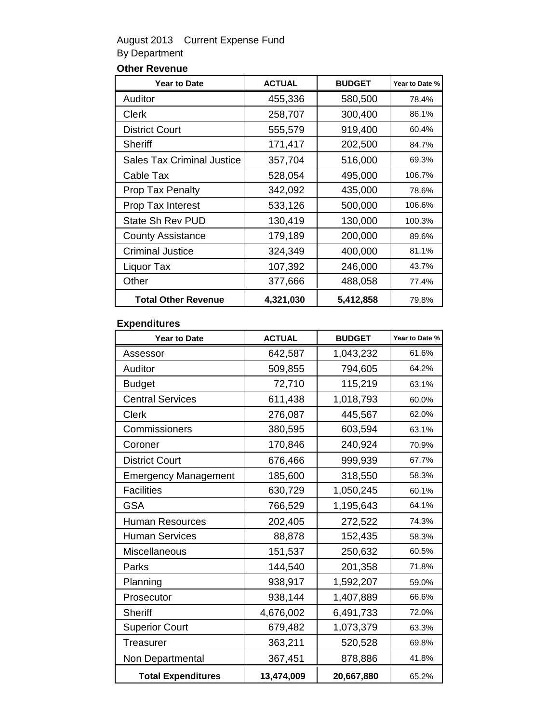### August 2013 Current Expense Fund By Department

### **Other Revenue**

| <b>Year to Date</b>               | <b>ACTUAL</b> | <b>BUDGET</b> | Year to Date % |
|-----------------------------------|---------------|---------------|----------------|
| Auditor                           | 455,336       | 580,500       | 78.4%          |
| Clerk                             | 258,707       | 300,400       | 86.1%          |
| <b>District Court</b>             | 555,579       | 919,400       | 60.4%          |
| <b>Sheriff</b>                    | 171,417       | 202,500       | 84.7%          |
| <b>Sales Tax Criminal Justice</b> | 357,704       | 516,000       | 69.3%          |
| Cable Tax                         | 528,054       | 495,000       | 106.7%         |
| <b>Prop Tax Penalty</b>           | 342,092       | 435,000       | 78.6%          |
| <b>Prop Tax Interest</b>          | 533,126       | 500,000       | 106.6%         |
| <b>State Sh Rev PUD</b>           | 130,419       | 130,000       | 100.3%         |
| <b>County Assistance</b>          | 179,189       | 200,000       | 89.6%          |
| <b>Criminal Justice</b>           | 324,349       | 400,000       | 81.1%          |
| Liquor Tax                        | 107,392       | 246,000       | 43.7%          |
| Other                             | 377,666       | 488,058       | 77.4%          |
| <b>Total Other Revenue</b>        | 4,321,030     | 5,412,858     | 79.8%          |

#### **Expenditures**

| <b>Year to Date</b>         | <b>ACTUAL</b> | <b>BUDGET</b> | Year to Date % |
|-----------------------------|---------------|---------------|----------------|
| Assessor                    | 642,587       | 1,043,232     | 61.6%          |
| Auditor                     | 509,855       | 794,605       | 64.2%          |
| <b>Budget</b>               | 72,710        | 115,219       | 63.1%          |
| <b>Central Services</b>     | 611,438       | 1,018,793     | 60.0%          |
| Clerk                       | 276,087       | 445,567       | 62.0%          |
| Commissioners               | 380,595       | 603,594       | 63.1%          |
| Coroner                     | 170,846       | 240,924       | 70.9%          |
| <b>District Court</b>       | 676,466       | 999,939       | 67.7%          |
| <b>Emergency Management</b> | 185,600       | 318,550       | 58.3%          |
| <b>Facilities</b>           | 630,729       | 1,050,245     | 60.1%          |
| <b>GSA</b>                  | 766,529       | 1,195,643     | 64.1%          |
| <b>Human Resources</b>      | 202,405       | 272,522       | 74.3%          |
| <b>Human Services</b>       | 88,878        | 152,435       | 58.3%          |
| Miscellaneous               | 151,537       | 250,632       | 60.5%          |
| Parks                       | 144,540       | 201,358       | 71.8%          |
| Planning                    | 938,917       | 1,592,207     | 59.0%          |
| Prosecutor                  | 938,144       | 1,407,889     | 66.6%          |
| <b>Sheriff</b>              | 4,676,002     | 6,491,733     | 72.0%          |
| <b>Superior Court</b>       | 679,482       | 1,073,379     | 63.3%          |
| Treasurer                   | 363,211       | 520,528       | 69.8%          |
| Non Departmental            | 367,451       | 878,886       | 41.8%          |
| <b>Total Expenditures</b>   | 13,474,009    | 20,667,880    | 65.2%          |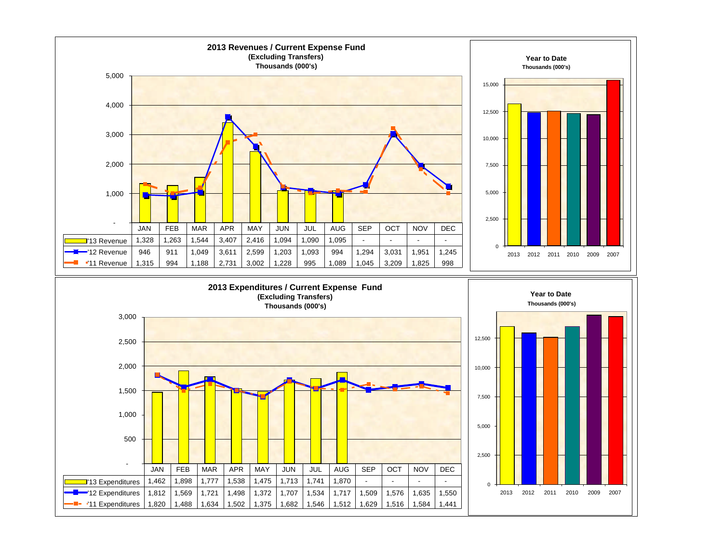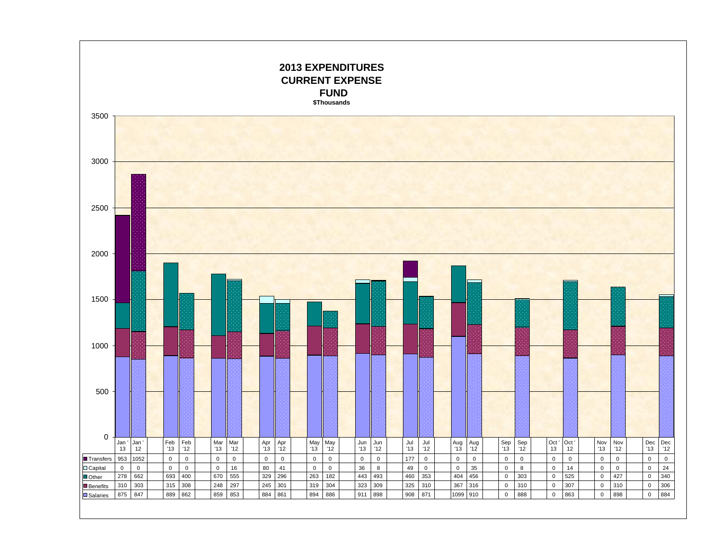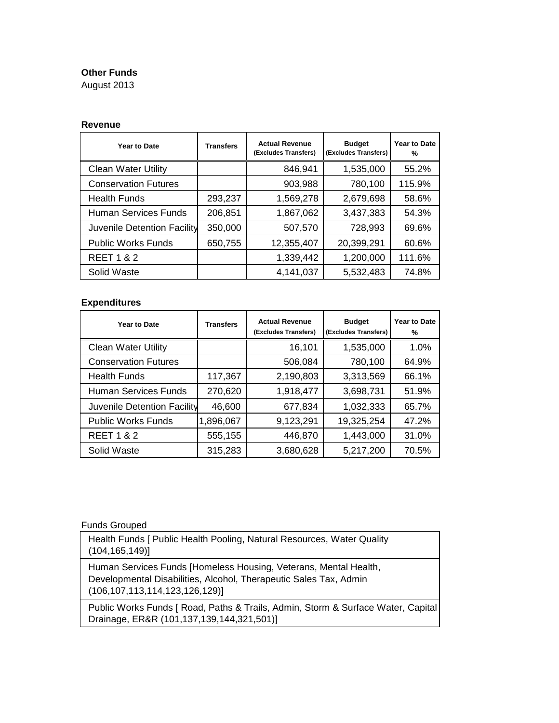#### **Other Funds**

August 2013

#### **Revenue**

| Year to Date                | <b>Transfers</b> | <b>Actual Revenue</b><br>(Excludes Transfers) | <b>Budget</b><br>(Excludes Transfers) | Year to Date<br>% |
|-----------------------------|------------------|-----------------------------------------------|---------------------------------------|-------------------|
| <b>Clean Water Utility</b>  |                  | 846,941                                       | 1,535,000                             | 55.2%             |
| <b>Conservation Futures</b> |                  | 903,988                                       | 780,100                               | 115.9%            |
| <b>Health Funds</b>         | 293,237          | 1,569,278                                     | 2,679,698                             | 58.6%             |
| <b>Human Services Funds</b> | 206,851          | 1,867,062                                     | 3,437,383                             | 54.3%             |
| Juvenile Detention Facility | 350,000          | 507,570                                       | 728,993                               | 69.6%             |
| <b>Public Works Funds</b>   | 650,755          | 12,355,407                                    | 20,399,291                            | 60.6%             |
| <b>REET 1 &amp; 2</b>       |                  | 1,339,442                                     | 1,200,000                             | 111.6%            |
| Solid Waste                 |                  | 4,141,037                                     | 5,532,483                             | 74.8%             |

#### **Expenditures**

| Year to Date                | <b>Transfers</b> | <b>Actual Revenue</b><br>(Excludes Transfers) | <b>Budget</b><br>(Excludes Transfers) | <b>Year to Date</b><br>℅ |
|-----------------------------|------------------|-----------------------------------------------|---------------------------------------|--------------------------|
| <b>Clean Water Utility</b>  |                  | 16,101                                        | 1,535,000                             | 1.0%                     |
| <b>Conservation Futures</b> |                  | 506,084                                       | 780,100                               | 64.9%                    |
| <b>Health Funds</b>         | 117,367          | 2,190,803                                     | 3,313,569                             | 66.1%                    |
| <b>Human Services Funds</b> | 270,620          | 1,918,477                                     | 3,698,731                             | 51.9%                    |
| Juvenile Detention Facility | 46,600           | 677,834                                       | 1,032,333                             | 65.7%                    |
| <b>Public Works Funds</b>   | 1,896,067        | 9,123,291                                     | 19,325,254                            | 47.2%                    |
| <b>REET 1 &amp; 2</b>       | 555,155          | 446,870                                       | 1,443,000                             | 31.0%                    |
| Solid Waste                 | 315,283          | 3,680,628                                     | 5,217,200                             | 70.5%                    |

#### Funds Grouped

Health Funds [ Public Health Pooling, Natural Resources, Water Quality (104,165,149)]

Human Services Funds [Homeless Housing, Veterans, Mental Health, Developmental Disabilities, Alcohol, Therapeutic Sales Tax, Admin (106,107,113,114,123,126,129)]

Public Works Funds [ Road, Paths & Trails, Admin, Storm & Surface Water, Capital Drainage, ER&R (101,137,139,144,321,501)]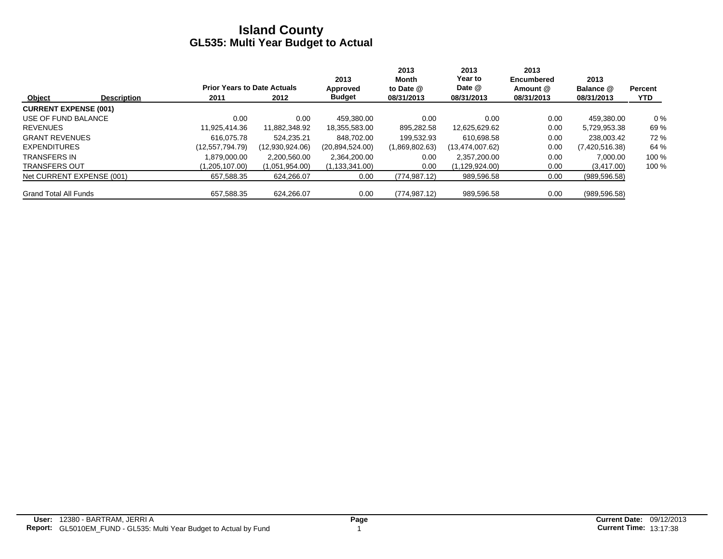|                              |                    |                                    |                 | 2013             | 2013<br>Month  | 2013<br>Year to | 2013<br>Encumbered | 2013           |                |
|------------------------------|--------------------|------------------------------------|-----------------|------------------|----------------|-----------------|--------------------|----------------|----------------|
|                              |                    | <b>Prior Years to Date Actuals</b> |                 | Approved         | to Date @      | Date @          | Amount @           | Balance @      | <b>Percent</b> |
| Object                       | <b>Description</b> | 2011                               | 2012            | <b>Budget</b>    | 08/31/2013     | 08/31/2013      | 08/31/2013         | 08/31/2013     | <b>YTD</b>     |
| <b>CURRENT EXPENSE (001)</b> |                    |                                    |                 |                  |                |                 |                    |                |                |
| USE OF FUND BALANCE          |                    | 0.00                               | 0.00            | 459.380.00       | 0.00           | 0.00            | 0.00               | 459.380.00     | $0\%$          |
| <b>REVENUES</b>              |                    | 11.925.414.36                      | 11.882.348.92   | 18,355,583.00    | 895,282.58     | 12,625,629.62   | 0.00               | 5,729,953.38   | 69%            |
| <b>GRANT REVENUES</b>        |                    | 616.075.78                         | 524.235.21      | 848.702.00       | 199.532.93     | 610.698.58      | 0.00               | 238.003.42     | 72 %           |
| <b>EXPENDITURES</b>          |                    | (12,557,794.79)                    | (12,930,924.06) | (20.894.524.00)  | (1,869,802.63) | (13,474,007.62) | 0.00               | (7,420,516.38) | 64 %           |
| <b>TRANSFERS IN</b>          |                    | 1.879.000.00                       | 2.200.560.00    | 2,364,200.00     | 0.00           | 2.357.200.00    | 0.00               | 7.000.00       | 100 %          |
| <b>TRANSFERS OUT</b>         |                    | (1,205,107.00)                     | (1,051,954.00)  | (1, 133, 341.00) | 0.00           | (1,129,924.00)  | 0.00               | (3,417.00)     | 100 %          |
| Net CURRENT EXPENSE (001)    |                    | 657,588.35                         | 624.266.07      | 0.00             | (774, 987.12)  | 989,596.58      | 0.00               | (989, 596.58)  |                |
| <b>Grand Total All Funds</b> |                    | 657.588.35                         | 624.266.07      | 0.00             | (774, 987.12)  | 989,596.58      | 0.00               | (989, 596.58)  |                |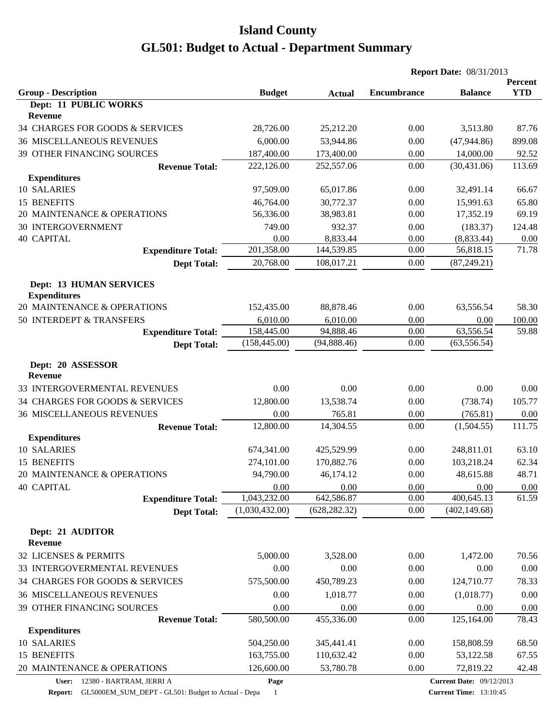|                                                       |                |               | <b>Report Date: 08/31/2013</b> |                                 |                       |
|-------------------------------------------------------|----------------|---------------|--------------------------------|---------------------------------|-----------------------|
| <b>Group - Description</b>                            | <b>Budget</b>  | <b>Actual</b> | Encumbrance                    | <b>Balance</b>                  | Percent<br><b>YTD</b> |
| Dept: 11 PUBLIC WORKS                                 |                |               |                                |                                 |                       |
| <b>Revenue</b>                                        |                |               |                                |                                 |                       |
| 34 CHARGES FOR GOODS & SERVICES                       | 28,726.00      | 25,212.20     | 0.00                           | 3,513.80                        | 87.76                 |
| <b>36 MISCELLANEOUS REVENUES</b>                      | 6,000.00       | 53,944.86     | 0.00                           | (47, 944.86)                    | 899.08                |
| 39 OTHER FINANCING SOURCES                            | 187,400.00     | 173,400.00    | 0.00                           | 14,000.00                       | 92.52                 |
| <b>Revenue Total:</b>                                 | 222,126.00     | 252,557.06    | 0.00                           | (30, 431.06)                    | 113.69                |
| <b>Expenditures</b>                                   |                |               |                                |                                 |                       |
| 10 SALARIES                                           | 97,509.00      | 65,017.86     | 0.00                           | 32,491.14                       | 66.67                 |
| 15 BENEFITS                                           | 46,764.00      | 30,772.37     | 0.00                           | 15,991.63                       | 65.80                 |
| 20 MAINTENANCE & OPERATIONS                           | 56,336.00      | 38,983.81     | 0.00                           | 17,352.19                       | 69.19                 |
| <b>30 INTERGOVERNMENT</b>                             | 749.00         | 932.37        | 0.00                           | (183.37)                        | 124.48                |
| <b>40 CAPITAL</b>                                     | 0.00           | 8,833.44      | 0.00                           | (8,833.44)                      | 0.00                  |
| <b>Expenditure Total:</b>                             | 201,358.00     | 144,539.85    | 0.00                           | 56,818.15                       | 71.78                 |
| <b>Dept Total:</b>                                    | 20,768.00      | 108,017.21    | 0.00                           | (87, 249.21)                    |                       |
| <b>Dept: 13 HUMAN SERVICES</b><br><b>Expenditures</b> |                |               |                                |                                 |                       |
| 20 MAINTENANCE & OPERATIONS                           | 152,435.00     | 88,878.46     | 0.00                           | 63,556.54                       | 58.30                 |
| 50 INTERDEPT & TRANSFERS                              | 6,010.00       | 6,010.00      | 0.00                           | 0.00                            | 100.00                |
| <b>Expenditure Total:</b>                             | 158,445.00     | 94,888.46     | 0.00                           | 63,556.54                       | 59.88                 |
| <b>Dept Total:</b>                                    | (158, 445.00)  | (94,888.46)   | 0.00                           | (63, 556.54)                    |                       |
| Dept: 20 ASSESSOR<br>Revenue                          |                |               |                                |                                 |                       |
| 33 INTERGOVERMENTAL REVENUES                          | 0.00           | 0.00          | 0.00                           | 0.00                            | 0.00                  |
| 34 CHARGES FOR GOODS & SERVICES                       | 12,800.00      | 13,538.74     | 0.00                           | (738.74)                        | 105.77                |
| <b>36 MISCELLANEOUS REVENUES</b>                      | 0.00           | 765.81        | 0.00                           | (765.81)                        | 0.00                  |
| <b>Revenue Total:</b>                                 | 12,800.00      | 14,304.55     | 0.00                           | (1,504.55)                      | 111.75                |
| <b>Expenditures</b>                                   |                |               |                                |                                 |                       |
| 10 SALARIES                                           | 674,341.00     | 425,529.99    | 0.00                           | 248,811.01                      | 63.10                 |
| 15 BENEFITS                                           | 274,101.00     | 170,882.76    | 0.00                           | 103,218.24                      | 62.34                 |
| 20 MAINTENANCE & OPERATIONS                           | 94,790.00      | 46,174.12     | 0.00                           | 48,615.88                       | 48.71                 |
| <b>40 CAPITAL</b>                                     | 0.00           | 0.00          | 0.00                           | 0.00                            | 0.00                  |
| <b>Expenditure Total:</b>                             | 1,043,232.00   | 642,586.87    | 0.00                           | 400,645.13                      | 61.59                 |
| <b>Dept Total:</b>                                    | (1,030,432.00) | (628, 282.32) | $0.00\,$                       | (402, 149.68)                   |                       |
| Dept: 21 AUDITOR<br>Revenue                           |                |               |                                |                                 |                       |
| 32 LICENSES & PERMITS                                 | 5,000.00       | 3,528.00      | 0.00                           | 1,472.00                        | 70.56                 |
| 33 INTERGOVERMENTAL REVENUES                          | 0.00           | 0.00          | 0.00                           | 0.00                            | 0.00                  |
| 34 CHARGES FOR GOODS & SERVICES                       | 575,500.00     | 450,789.23    | 0.00                           | 124,710.77                      | 78.33                 |
| <b>36 MISCELLANEOUS REVENUES</b>                      | 0.00           | 1,018.77      | 0.00                           | (1,018.77)                      | 0.00                  |
| 39 OTHER FINANCING SOURCES                            | 0.00           | 0.00          | 0.00                           | 0.00                            | 0.00                  |
| <b>Revenue Total:</b>                                 | 580,500.00     | 455,336.00    | 0.00                           | 125,164.00                      | 78.43                 |
| <b>Expenditures</b>                                   |                |               |                                |                                 |                       |
| 10 SALARIES                                           | 504,250.00     | 345,441.41    | 0.00                           | 158,808.59                      | 68.50                 |
| 15 BENEFITS                                           | 163,755.00     | 110,632.42    | 0.00                           | 53,122.58                       | 67.55                 |
| 20 MAINTENANCE & OPERATIONS                           | 126,600.00     | 53,780.78     | 0.00                           | 72,819.22                       | 42.48                 |
| User: 12380 - BARTRAM, JERRI A                        | Page           |               |                                | <b>Current Date: 09/12/2013</b> |                       |

**Report:** GL5000EM\_SUM\_DEPT - GL501: Budget to Actual - Depa 1

**Current Time:** 13:10:45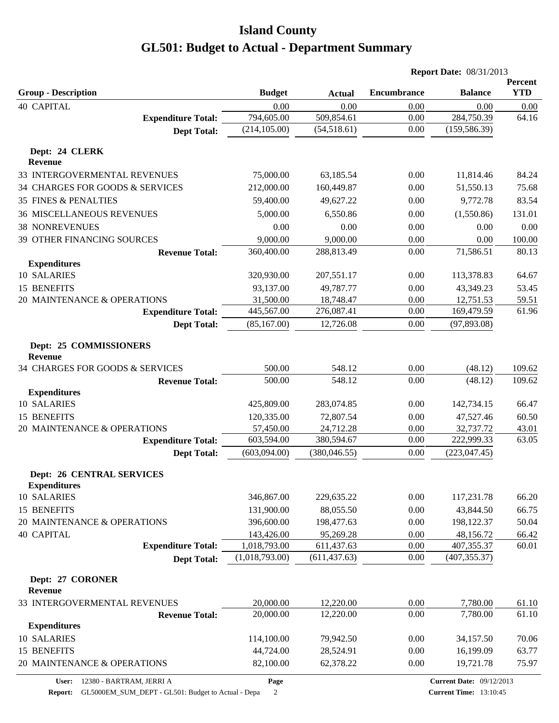|                                                         |                |               | <b>Report Date: 08/31/2013</b> |                |                       |  |
|---------------------------------------------------------|----------------|---------------|--------------------------------|----------------|-----------------------|--|
| <b>Group - Description</b>                              | <b>Budget</b>  | <b>Actual</b> | <b>Encumbrance</b>             | <b>Balance</b> | Percent<br><b>YTD</b> |  |
| <b>40 CAPITAL</b>                                       | 0.00           | 0.00          | 0.00                           | 0.00           | 0.00                  |  |
| <b>Expenditure Total:</b>                               | 794,605.00     | 509,854.61    | 0.00                           | 284,750.39     | 64.16                 |  |
| <b>Dept Total:</b>                                      | (214, 105.00)  | (54, 518.61)  | 0.00                           | (159, 586.39)  |                       |  |
| Dept: 24 CLERK<br><b>Revenue</b>                        |                |               |                                |                |                       |  |
| 33 INTERGOVERMENTAL REVENUES                            | 75,000.00      | 63,185.54     | 0.00                           | 11,814.46      | 84.24                 |  |
| 34 CHARGES FOR GOODS & SERVICES                         | 212,000.00     | 160,449.87    | 0.00                           | 51,550.13      | 75.68                 |  |
| <b>35 FINES &amp; PENALTIES</b>                         | 59,400.00      | 49,627.22     | 0.00                           | 9,772.78       | 83.54                 |  |
| <b>36 MISCELLANEOUS REVENUES</b>                        | 5,000.00       | 6,550.86      | 0.00                           | (1,550.86)     | 131.01                |  |
| <b>38 NONREVENUES</b>                                   | 0.00           | 0.00          | 0.00                           | 0.00           | 0.00                  |  |
| 39 OTHER FINANCING SOURCES                              | 9,000.00       | 9,000.00      | 0.00                           | 0.00           | 100.00                |  |
| <b>Revenue Total:</b>                                   | 360,400.00     | 288,813.49    | 0.00                           | 71,586.51      | 80.13                 |  |
| <b>Expenditures</b>                                     |                |               |                                |                |                       |  |
| 10 SALARIES                                             | 320,930.00     | 207,551.17    | 0.00                           | 113,378.83     | 64.67                 |  |
| 15 BENEFITS                                             | 93,137.00      | 49,787.77     | 0.00                           | 43,349.23      | 53.45                 |  |
| 20 MAINTENANCE & OPERATIONS                             | 31,500.00      | 18,748.47     | 0.00                           | 12,751.53      | 59.51                 |  |
| <b>Expenditure Total:</b>                               | 445,567.00     | 276,087.41    | 0.00                           | 169,479.59     | 61.96                 |  |
| <b>Dept Total:</b>                                      | (85, 167.00)   | 12,726.08     | 0.00                           | (97, 893.08)   |                       |  |
| Dept: 25 COMMISSIONERS<br><b>Revenue</b>                |                |               |                                |                |                       |  |
| 34 CHARGES FOR GOODS & SERVICES                         | 500.00         | 548.12        | 0.00                           | (48.12)        | 109.62                |  |
| <b>Revenue Total:</b>                                   | 500.00         | 548.12        | 0.00                           | (48.12)        | 109.62                |  |
| <b>Expenditures</b>                                     |                |               |                                |                |                       |  |
| 10 SALARIES                                             | 425,809.00     | 283,074.85    | 0.00                           | 142,734.15     | 66.47                 |  |
| 15 BENEFITS                                             | 120,335.00     | 72,807.54     | 0.00                           | 47,527.46      | 60.50                 |  |
| 20 MAINTENANCE & OPERATIONS                             | 57,450.00      | 24,712.28     | 0.00                           | 32,737.72      | 43.01                 |  |
| <b>Expenditure Total:</b>                               | 603,594.00     | 380,594.67    | 0.00                           | 222,999.33     | 63.05                 |  |
| <b>Dept Total:</b>                                      | (603,094.00)   | (380, 046.55) | 0.00                           | (223, 047.45)  |                       |  |
| <b>Dept: 26 CENTRAL SERVICES</b><br><b>Expenditures</b> |                |               |                                |                |                       |  |
| 10 SALARIES                                             | 346,867.00     | 229,635.22    | 0.00                           | 117,231.78     | 66.20                 |  |
| 15 BENEFITS                                             | 131,900.00     | 88,055.50     | 0.00                           | 43,844.50      | 66.75                 |  |
| 20 MAINTENANCE & OPERATIONS                             | 396,600.00     | 198,477.63    | 0.00                           | 198,122.37     | 50.04                 |  |
| <b>40 CAPITAL</b>                                       | 143,426.00     | 95,269.28     | 0.00                           | 48,156.72      | 66.42                 |  |
| <b>Expenditure Total:</b>                               | 1,018,793.00   | 611,437.63    | 0.00                           | 407,355.37     | 60.01                 |  |
| <b>Dept Total:</b>                                      | (1,018,793.00) | (611, 437.63) | 0.00                           | (407, 355.37)  |                       |  |
| Dept: 27 CORONER<br><b>Revenue</b>                      |                |               |                                |                |                       |  |
| 33 INTERGOVERMENTAL REVENUES                            | 20,000.00      | 12,220.00     | 0.00                           | 7,780.00       | 61.10                 |  |
| <b>Revenue Total:</b>                                   | 20,000.00      | 12,220.00     | 0.00                           | 7,780.00       | 61.10                 |  |
| <b>Expenditures</b>                                     |                |               |                                |                |                       |  |
| 10 SALARIES                                             | 114,100.00     | 79,942.50     | 0.00                           | 34,157.50      | 70.06                 |  |
| 15 BENEFITS                                             | 44,724.00      | 28,524.91     | 0.00                           | 16,199.09      | 63.77                 |  |
| 20 MAINTENANCE & OPERATIONS                             | 82,100.00      | 62,378.22     | 0.00                           | 19,721.78      | 75.97                 |  |
|                                                         |                |               |                                |                |                       |  |

**Page**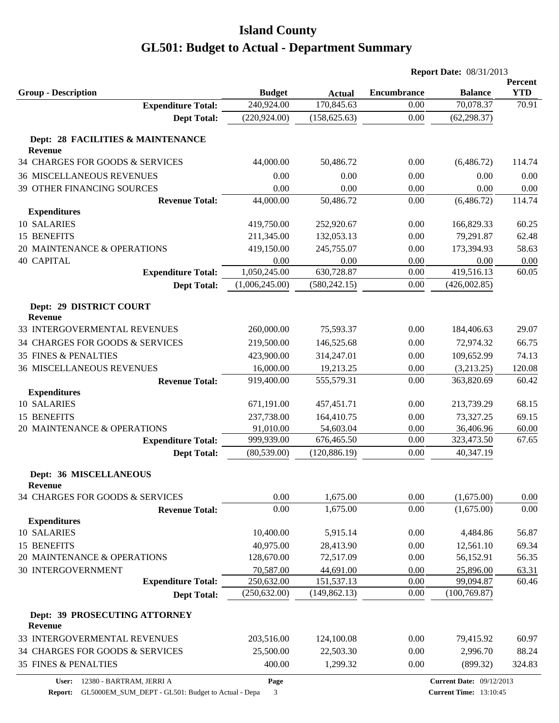|                                                 |                       |                         |                         | <b>Report Date: 08/31/2013</b> |                         |                       |
|-------------------------------------------------|-----------------------|-------------------------|-------------------------|--------------------------------|-------------------------|-----------------------|
| <b>Group - Description</b>                      |                       | <b>Budget</b>           | <b>Actual</b>           | Encumbrance                    | <b>Balance</b>          | Percent<br><b>YTD</b> |
| <b>Expenditure Total:</b>                       |                       | 240,924.00              | 170,845.63              | 0.00                           | 70,078.37               | 70.91                 |
|                                                 | <b>Dept Total:</b>    | (220, 924.00)           | (158, 625.63)           | 0.00                           | (62, 298.37)            |                       |
| Dept: 28 FACILITIES & MAINTENANCE               |                       |                         |                         |                                |                         |                       |
| Revenue                                         |                       |                         |                         |                                |                         |                       |
| 34 CHARGES FOR GOODS & SERVICES                 |                       | 44,000.00               | 50,486.72               | 0.00                           | (6,486.72)              | 114.74                |
| <b>36 MISCELLANEOUS REVENUES</b>                |                       | 0.00                    | 0.00                    | 0.00                           | 0.00                    | 0.00                  |
| 39 OTHER FINANCING SOURCES                      |                       | 0.00                    | 0.00                    | 0.00                           | 0.00                    | 0.00                  |
|                                                 | <b>Revenue Total:</b> | 44,000.00               | 50,486.72               | 0.00                           | (6,486.72)              | 114.74                |
| <b>Expenditures</b>                             |                       |                         |                         |                                |                         |                       |
| 10 SALARIES                                     |                       | 419,750.00              | 252,920.67              | 0.00                           | 166,829.33              | 60.25                 |
| 15 BENEFITS                                     |                       | 211,345.00              | 132,053.13              | 0.00                           | 79,291.87               | 62.48                 |
| 20 MAINTENANCE & OPERATIONS                     |                       | 419,150.00              | 245,755.07              | 0.00                           | 173,394.93              | 58.63                 |
| <b>40 CAPITAL</b>                               |                       | 0.00                    | 0.00                    | 0.00                           | 0.00                    | 0.00                  |
| <b>Expenditure Total:</b>                       |                       | 1,050,245.00            | 630,728.87              | 0.00                           | 419,516.13              | 60.05                 |
|                                                 | <b>Dept Total:</b>    | (1,006,245.00)          | (580, 242.15)           | 0.00                           | (426,002.85)            |                       |
| Dept: 29 DISTRICT COURT                         |                       |                         |                         |                                |                         |                       |
| <b>Revenue</b><br>33 INTERGOVERMENTAL REVENUES  |                       | 260,000.00              | 75,593.37               | 0.00                           | 184,406.63              | 29.07                 |
| 34 CHARGES FOR GOODS & SERVICES                 |                       | 219,500.00              | 146,525.68              | 0.00                           | 72,974.32               | 66.75                 |
| <b>35 FINES &amp; PENALTIES</b>                 |                       | 423,900.00              | 314,247.01              | 0.00                           | 109,652.99              | 74.13                 |
|                                                 |                       |                         |                         |                                |                         |                       |
| <b>36 MISCELLANEOUS REVENUES</b>                |                       | 16,000.00               | 19,213.25               | 0.00                           | (3,213.25)              | 120.08                |
|                                                 | <b>Revenue Total:</b> | 919,400.00              | 555,579.31              | 0.00                           | 363,820.69              | 60.42                 |
| <b>Expenditures</b><br>10 SALARIES              |                       |                         |                         |                                |                         | 68.15                 |
|                                                 |                       | 671,191.00              | 457, 451.71             | 0.00                           | 213,739.29              |                       |
| 15 BENEFITS<br>20 MAINTENANCE & OPERATIONS      |                       | 237,738.00              | 164,410.75              | 0.00                           | 73,327.25               | 69.15                 |
|                                                 |                       | 91,010.00<br>999,939.00 | 54,603.04<br>676,465.50 | 0.00<br>0.00                   | 36,406.96<br>323,473.50 | 60.00<br>67.65        |
| <b>Expenditure Total:</b>                       |                       | (80, 539.00)            | (120, 886.19)           | 0.00                           | 40,347.19               |                       |
|                                                 | <b>Dept Total:</b>    |                         |                         |                                |                         |                       |
| <b>Dept: 36 MISCELLANEOUS</b><br><b>Revenue</b> |                       |                         |                         |                                |                         |                       |
| 34 CHARGES FOR GOODS & SERVICES                 |                       | 0.00                    | 1,675.00                | 0.00                           | (1,675.00)              | 0.00                  |
|                                                 | <b>Revenue Total:</b> | 0.00                    | 1,675.00                | 0.00                           | (1,675.00)              | 0.00                  |
| <b>Expenditures</b>                             |                       |                         |                         |                                |                         |                       |
| 10 SALARIES                                     |                       | 10,400.00               | 5,915.14                | 0.00                           | 4,484.86                | 56.87                 |
| 15 BENEFITS                                     |                       | 40,975.00               | 28,413.90               | 0.00                           | 12,561.10               | 69.34                 |
| 20 MAINTENANCE & OPERATIONS                     |                       | 128,670.00              | 72,517.09               | 0.00                           | 56,152.91               | 56.35                 |
| <b>30 INTERGOVERNMENT</b>                       |                       | 70,587.00               | 44,691.00               | 0.00                           | 25,896.00               | 63.31                 |
| <b>Expenditure Total:</b>                       |                       | 250,632.00              | 151,537.13              | 0.00                           | 99,094.87               | 60.46                 |
|                                                 | <b>Dept Total:</b>    | (250, 632.00)           | (149, 862.13)           | $0.00\,$                       | (100, 769.87)           |                       |
| Dept: 39 PROSECUTING ATTORNEY<br>Revenue        |                       |                         |                         |                                |                         |                       |
| 33 INTERGOVERMENTAL REVENUES                    |                       | 203,516.00              | 124,100.08              | 0.00                           | 79,415.92               | 60.97                 |
| 34 CHARGES FOR GOODS & SERVICES                 |                       | 25,500.00               | 22,503.30               | 0.00                           | 2,996.70                | 88.24                 |
| 35 FINES & PENALTIES                            |                       | 400.00                  | 1,299.32                | 0.00                           | (899.32)                | 324.83                |
|                                                 |                       |                         |                         |                                |                         |                       |

**Page**

**Report:** GL5000EM\_SUM\_DEPT - GL501: Budget to Actual - Depa 3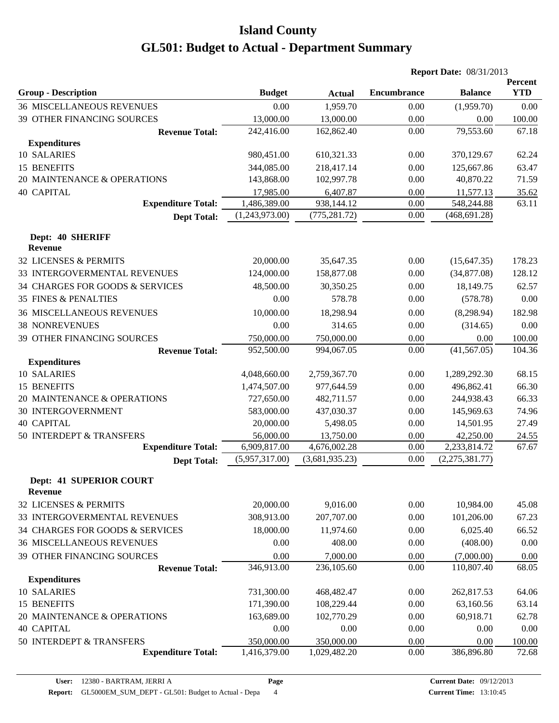|                                           |                                |                |                    | <b>Report Date: 08/31/2013</b> |                       |
|-------------------------------------------|--------------------------------|----------------|--------------------|--------------------------------|-----------------------|
| <b>Group - Description</b>                | <b>Budget</b>                  | <b>Actual</b>  | <b>Encumbrance</b> | <b>Balance</b>                 | Percent<br><b>YTD</b> |
| <b>36 MISCELLANEOUS REVENUES</b>          | 0.00                           | 1,959.70       | 0.00               | (1,959.70)                     | 0.00                  |
| 39 OTHER FINANCING SOURCES                | 13,000.00                      | 13,000.00      | 0.00               | 0.00                           | 100.00                |
| <b>Revenue Total:</b>                     | 242,416.00                     | 162,862.40     | 0.00               | 79,553.60                      | 67.18                 |
| <b>Expenditures</b>                       |                                |                |                    |                                |                       |
| 10 SALARIES                               | 980,451.00                     | 610,321.33     | 0.00               | 370,129.67                     | 62.24                 |
| 15 BENEFITS                               | 344,085.00                     | 218,417.14     | 0.00               | 125,667.86                     | 63.47                 |
| 20 MAINTENANCE & OPERATIONS               | 143,868.00                     | 102,997.78     | 0.00               | 40,870.22                      | 71.59                 |
| <b>40 CAPITAL</b>                         | 17,985.00                      | 6,407.87       | 0.00               | 11,577.13                      | 35.62                 |
| <b>Expenditure Total:</b>                 | 1,486,389.00                   | 938,144.12     | 0.00               | 548,244.88                     | 63.11                 |
| <b>Dept Total:</b>                        | (1,243,973.00)                 | (775, 281.72)  | 0.00               | (468, 691.28)                  |                       |
| Dept: 40 SHERIFF                          |                                |                |                    |                                |                       |
| Revenue                                   |                                |                |                    |                                |                       |
| <b>32 LICENSES &amp; PERMITS</b>          | 20,000.00                      | 35,647.35      | 0.00               | (15, 647.35)                   | 178.23                |
| 33 INTERGOVERMENTAL REVENUES              | 124,000.00                     | 158,877.08     | 0.00               | (34,877.08)                    | 128.12                |
| 34 CHARGES FOR GOODS & SERVICES           | 48,500.00                      | 30,350.25      | 0.00               | 18,149.75                      | 62.57                 |
| <b>35 FINES &amp; PENALTIES</b>           | 0.00                           | 578.78         | 0.00               | (578.78)                       | 0.00                  |
| <b>36 MISCELLANEOUS REVENUES</b>          | 10,000.00                      | 18,298.94      | 0.00               | (8,298.94)                     | 182.98                |
| <b>38 NONREVENUES</b>                     | 0.00                           | 314.65         | 0.00               | (314.65)                       | 0.00                  |
| 39 OTHER FINANCING SOURCES                | 750,000.00                     | 750,000.00     | 0.00               | 0.00                           | 100.00                |
| <b>Revenue Total:</b>                     | 952,500.00                     | 994,067.05     | 0.00               | (41, 567.05)                   | 104.36                |
| <b>Expenditures</b>                       |                                |                |                    |                                |                       |
| 10 SALARIES                               | 4,048,660.00                   | 2,759,367.70   | 0.00               | 1,289,292.30                   | 68.15                 |
| <b>15 BENEFITS</b>                        | 1,474,507.00                   | 977,644.59     | 0.00               | 496,862.41                     | 66.30                 |
| 20 MAINTENANCE & OPERATIONS               | 727,650.00                     | 482,711.57     | 0.00               | 244,938.43                     | 66.33                 |
| <b>30 INTERGOVERNMENT</b>                 | 583,000.00                     | 437,030.37     | 0.00               | 145,969.63                     | 74.96                 |
| <b>40 CAPITAL</b>                         | 20,000.00                      | 5,498.05       | 0.00               | 14,501.95                      | 27.49                 |
| 50 INTERDEPT & TRANSFERS                  | 56,000.00                      | 13,750.00      | 0.00               | 42,250.00                      | 24.55                 |
| <b>Expenditure Total:</b>                 | 6,909,817.00<br>(5,957,317.00) | 4,676,002.28   | 0.00<br>0.00       | 2,233,814.72                   | 67.67                 |
| <b>Dept Total:</b>                        |                                | (3,681,935.23) |                    | (2,275,381.77)                 |                       |
| Dept: 41 SUPERIOR COURT<br><b>Revenue</b> |                                |                |                    |                                |                       |
| 32 LICENSES & PERMITS                     | 20,000.00                      | 9,016.00       | 0.00               | 10,984.00                      | 45.08                 |
| 33 INTERGOVERMENTAL REVENUES              | 308,913.00                     | 207,707.00     | 0.00               | 101,206.00                     | 67.23                 |
| 34 CHARGES FOR GOODS & SERVICES           | 18,000.00                      | 11,974.60      | 0.00               | 6,025.40                       | 66.52                 |
| <b>36 MISCELLANEOUS REVENUES</b>          | 0.00                           | 408.00         | 0.00               | (408.00)                       | 0.00                  |
| 39 OTHER FINANCING SOURCES                | 0.00                           | 7,000.00       | 0.00               | (7,000.00)                     | 0.00                  |
| <b>Revenue Total:</b>                     | 346,913.00                     | 236,105.60     | 0.00               | 110,807.40                     | 68.05                 |
| <b>Expenditures</b>                       |                                |                |                    |                                |                       |
| 10 SALARIES                               | 731,300.00                     | 468,482.47     | 0.00               | 262,817.53                     | 64.06                 |
| 15 BENEFITS                               | 171,390.00                     | 108,229.44     | 0.00               | 63,160.56                      | 63.14                 |
| 20 MAINTENANCE & OPERATIONS               | 163,689.00                     | 102,770.29     | 0.00               | 60,918.71                      | 62.78                 |
| <b>40 CAPITAL</b>                         | 0.00                           | 0.00           | 0.00               | 0.00                           | 0.00                  |
| 50 INTERDEPT & TRANSFERS                  | 350,000.00                     | 350,000.00     | 0.00               | 0.00                           | 100.00                |
| <b>Expenditure Total:</b>                 | 1,416,379.00                   | 1,029,482.20   | 0.00               | 386,896.80                     | 72.68                 |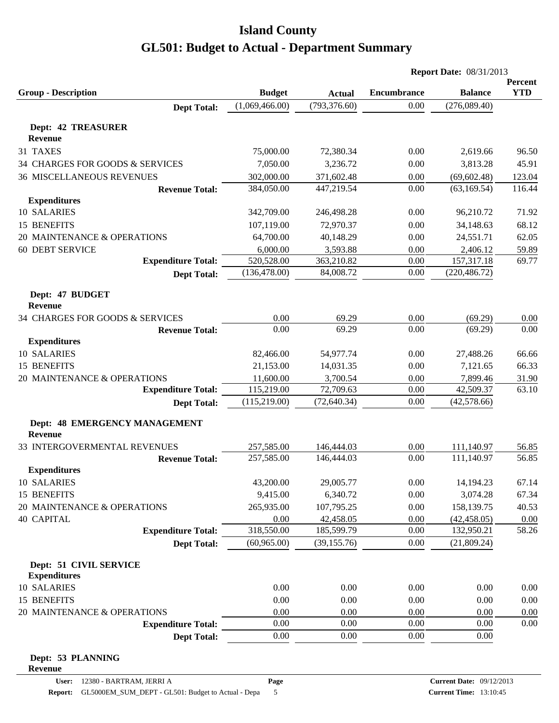|                                                 |                |               | <b>Report Date: 08/31/2013</b> |                |            |
|-------------------------------------------------|----------------|---------------|--------------------------------|----------------|------------|
|                                                 |                |               |                                |                | Percent    |
| <b>Group - Description</b>                      | <b>Budget</b>  | <b>Actual</b> | <b>Encumbrance</b>             | <b>Balance</b> | <b>YTD</b> |
| <b>Dept Total:</b>                              | (1,069,466.00) | (793, 376.60) | 0.00                           | (276,089.40)   |            |
| <b>Dept: 42 TREASURER</b>                       |                |               |                                |                |            |
| <b>Revenue</b>                                  |                |               |                                |                |            |
| 31 TAXES                                        | 75,000.00      | 72,380.34     | 0.00                           | 2,619.66       | 96.50      |
| 34 CHARGES FOR GOODS & SERVICES                 | 7,050.00       | 3,236.72      | 0.00                           | 3,813.28       | 45.91      |
| <b>36 MISCELLANEOUS REVENUES</b>                | 302,000.00     | 371,602.48    | 0.00                           | (69, 602.48)   | 123.04     |
| <b>Revenue Total:</b>                           | 384,050.00     | 447,219.54    | 0.00                           | (63, 169.54)   | 116.44     |
| <b>Expenditures</b>                             |                |               |                                |                |            |
| 10 SALARIES                                     | 342,709.00     | 246,498.28    | 0.00                           | 96,210.72      | 71.92      |
| <b>15 BENEFITS</b>                              | 107,119.00     | 72,970.37     | 0.00                           | 34,148.63      | 68.12      |
| 20 MAINTENANCE & OPERATIONS                     | 64,700.00      | 40,148.29     | 0.00                           | 24,551.71      | 62.05      |
| <b>60 DEBT SERVICE</b>                          | 6,000.00       | 3,593.88      | 0.00                           | 2,406.12       | 59.89      |
| <b>Expenditure Total:</b>                       | 520,528.00     | 363,210.82    | 0.00                           | 157,317.18     | 69.77      |
| <b>Dept Total:</b>                              | (136, 478.00)  | 84,008.72     | 0.00                           | (220, 486.72)  |            |
| Dept: 47 BUDGET<br><b>Revenue</b>               |                |               |                                |                |            |
| 34 CHARGES FOR GOODS & SERVICES                 | 0.00           | 69.29         | 0.00                           | (69.29)        | 0.00       |
| <b>Revenue Total:</b>                           | 0.00           | 69.29         | 0.00                           | (69.29)        | 0.00       |
| <b>Expenditures</b>                             |                |               |                                |                |            |
| 10 SALARIES                                     | 82,466.00      | 54,977.74     | 0.00                           | 27,488.26      | 66.66      |
| 15 BENEFITS                                     | 21,153.00      | 14,031.35     | 0.00                           | 7,121.65       | 66.33      |
| 20 MAINTENANCE & OPERATIONS                     | 11,600.00      | 3,700.54      | 0.00                           | 7,899.46       | 31.90      |
| <b>Expenditure Total:</b>                       | 115,219.00     | 72,709.63     | 0.00                           | 42,509.37      | 63.10      |
| <b>Dept Total:</b>                              | (115, 219.00)  | (72, 640.34)  | 0.00                           | (42,578.66)    |            |
| Dept: 48 EMERGENCY MANAGEMENT<br><b>Revenue</b> |                |               |                                |                |            |
| 33 INTERGOVERMENTAL REVENUES                    | 257,585.00     | 146,444.03    | 0.00                           | 111,140.97     | 56.85      |
| <b>Revenue Total:</b>                           | 257,585.00     | 146,444.03    | 0.00                           | 111,140.97     | 56.85      |
| <b>Expenditures</b>                             |                |               |                                |                |            |
| 10 SALARIES                                     | 43,200.00      | 29,005.77     | 0.00                           | 14,194.23      | 67.14      |
| 15 BENEFITS                                     | 9,415.00       | 6,340.72      | 0.00                           | 3,074.28       | 67.34      |
| 20 MAINTENANCE & OPERATIONS                     | 265,935.00     | 107,795.25    | 0.00                           | 158,139.75     | 40.53      |
| <b>40 CAPITAL</b>                               | 0.00           | 42,458.05     | 0.00                           | (42, 458.05)   | 0.00       |
| <b>Expenditure Total:</b>                       | 318,550.00     | 185,599.79    | 0.00                           | 132,950.21     | 58.26      |
| <b>Dept Total:</b>                              | (60, 965.00)   | (39, 155.76)  | 0.00                           | (21,809.24)    |            |
| Dept: 51 CIVIL SERVICE<br><b>Expenditures</b>   |                |               |                                |                |            |
| 10 SALARIES                                     | 0.00           | 0.00          | 0.00                           | 0.00           | 0.00       |
| 15 BENEFITS                                     | 0.00           | 0.00          | 0.00                           | 0.00           | 0.00       |
| 20 MAINTENANCE & OPERATIONS                     | 0.00           | 0.00          | 0.00                           | 0.00           | 0.00       |
| <b>Expenditure Total:</b>                       | 0.00           | 0.00          | 0.00                           | 0.00           | 0.00       |
| <b>Dept Total:</b>                              | 0.00           | 0.00          | 0.00                           | 0.00           |            |
| Dept: 53 PLANNING                               |                |               |                                |                |            |

**Revenue**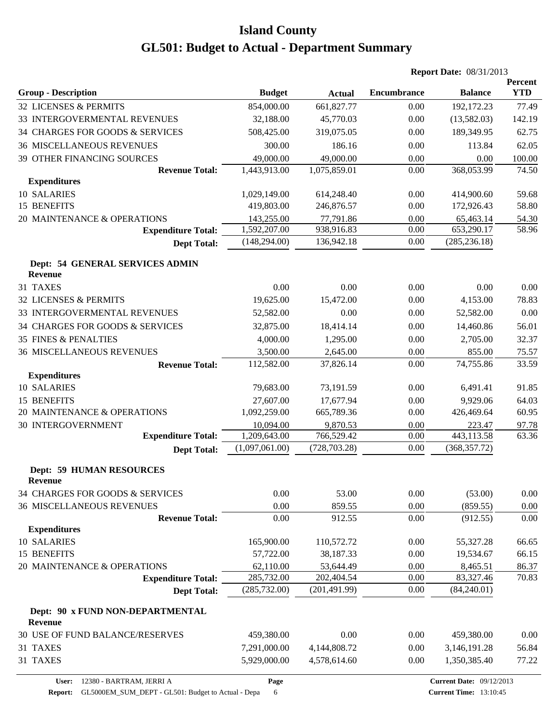|                                                    | <b>Report Date: 08/31/2013</b> |               |                    |                |                              |
|----------------------------------------------------|--------------------------------|---------------|--------------------|----------------|------------------------------|
| <b>Group - Description</b>                         | <b>Budget</b>                  | <b>Actual</b> | <b>Encumbrance</b> | <b>Balance</b> | <b>Percent</b><br><b>YTD</b> |
| 32 LICENSES & PERMITS                              | 854,000.00                     | 661,827.77    | 0.00               | 192,172.23     | 77.49                        |
| 33 INTERGOVERMENTAL REVENUES                       | 32,188.00                      | 45,770.03     | 0.00               | (13,582.03)    | 142.19                       |
| 34 CHARGES FOR GOODS & SERVICES                    | 508,425.00                     | 319,075.05    | 0.00               | 189,349.95     | 62.75                        |
| <b>36 MISCELLANEOUS REVENUES</b>                   | 300.00                         | 186.16        | 0.00               | 113.84         | 62.05                        |
| 39 OTHER FINANCING SOURCES                         | 49,000.00                      | 49,000.00     | 0.00               | 0.00           | 100.00                       |
| <b>Revenue Total:</b>                              | 1,443,913.00                   | 1,075,859.01  | 0.00               | 368,053.99     | 74.50                        |
| <b>Expenditures</b>                                |                                |               |                    |                |                              |
| 10 SALARIES                                        | 1,029,149.00                   | 614,248.40    | 0.00               | 414,900.60     | 59.68                        |
| 15 BENEFITS                                        | 419,803.00                     | 246,876.57    | 0.00               | 172,926.43     | 58.80                        |
| 20 MAINTENANCE & OPERATIONS                        | 143,255.00                     | 77,791.86     | 0.00               | 65,463.14      | 54.30                        |
| <b>Expenditure Total:</b>                          | 1,592,207.00                   | 938,916.83    | 0.00               | 653,290.17     | 58.96                        |
| <b>Dept Total:</b>                                 | (148, 294.00)                  | 136,942.18    | 0.00               | (285, 236.18)  |                              |
| Dept: 54 GENERAL SERVICES ADMIN<br><b>Revenue</b>  |                                |               |                    |                |                              |
| 31 TAXES                                           | 0.00                           | 0.00          | 0.00               | 0.00           | 0.00                         |
| 32 LICENSES & PERMITS                              | 19,625.00                      | 15,472.00     | 0.00               | 4,153.00       | 78.83                        |
| 33 INTERGOVERMENTAL REVENUES                       | 52,582.00                      | 0.00          | 0.00               | 52,582.00      | 0.00                         |
| 34 CHARGES FOR GOODS & SERVICES                    | 32,875.00                      | 18,414.14     | 0.00               | 14,460.86      | 56.01                        |
| <b>35 FINES &amp; PENALTIES</b>                    | 4,000.00                       | 1,295.00      | 0.00               | 2,705.00       | 32.37                        |
| <b>36 MISCELLANEOUS REVENUES</b>                   | 3,500.00                       | 2,645.00      | 0.00               | 855.00         | 75.57                        |
| <b>Revenue Total:</b>                              | 112,582.00                     | 37,826.14     | 0.00               | 74,755.86      | 33.59                        |
| <b>Expenditures</b>                                |                                |               |                    |                |                              |
| 10 SALARIES                                        | 79,683.00                      | 73,191.59     | 0.00               | 6,491.41       | 91.85                        |
| 15 BENEFITS                                        | 27,607.00                      | 17,677.94     | 0.00               | 9,929.06       | 64.03                        |
| 20 MAINTENANCE & OPERATIONS                        | 1,092,259.00                   | 665,789.36    | 0.00               | 426,469.64     | 60.95                        |
| <b>30 INTERGOVERNMENT</b>                          | 10,094.00                      | 9,870.53      | 0.00               | 223.47         | 97.78                        |
| <b>Expenditure Total:</b>                          | 1,209,643.00                   | 766,529.42    | 0.00               | 443,113.58     | 63.36                        |
| <b>Dept Total:</b>                                 | (1,097,061.00)                 | (728, 703.28) | 0.00               | (368, 357.72)  |                              |
| <b>Dept: 59 HUMAN RESOURCES</b><br><b>Revenue</b>  |                                |               |                    |                |                              |
| 34 CHARGES FOR GOODS & SERVICES                    | 0.00                           | 53.00         | 0.00               | (53.00)        | 0.00                         |
| <b>36 MISCELLANEOUS REVENUES</b>                   | 0.00                           | 859.55        | 0.00               | (859.55)       | $0.00\,$                     |
| <b>Revenue Total:</b>                              | 0.00                           | 912.55        | 0.00               | (912.55)       | 0.00                         |
| <b>Expenditures</b>                                |                                |               |                    |                |                              |
| 10 SALARIES                                        | 165,900.00                     | 110,572.72    | 0.00               | 55,327.28      | 66.65                        |
| 15 BENEFITS                                        | 57,722.00                      | 38,187.33     | 0.00               | 19,534.67      | 66.15                        |
| 20 MAINTENANCE & OPERATIONS                        | 62,110.00                      | 53,644.49     | 0.00               | 8,465.51       | 86.37                        |
| <b>Expenditure Total:</b>                          | 285,732.00                     | 202,404.54    | 0.00               | 83,327.46      | 70.83                        |
| <b>Dept Total:</b>                                 | (285, 732.00)                  | (201, 491.99) | 0.00               | (84,240.01)    |                              |
| Dept: 90 x FUND NON-DEPARTMENTAL<br><b>Revenue</b> |                                |               |                    |                |                              |
| 30 USE OF FUND BALANCE/RESERVES                    | 459,380.00                     | 0.00          | 0.00               | 459,380.00     | 0.00                         |
| 31 TAXES                                           | 7,291,000.00                   | 4,144,808.72  | 0.00               | 3,146,191.28   | 56.84                        |
| 31 TAXES                                           | 5,929,000.00                   | 4,578,614.60  | 0.00               | 1,350,385.40   | 77.22                        |

Report: GL5000EM\_SUM\_DEPT - GL501: Budget to Actual - Depa 6

**Page**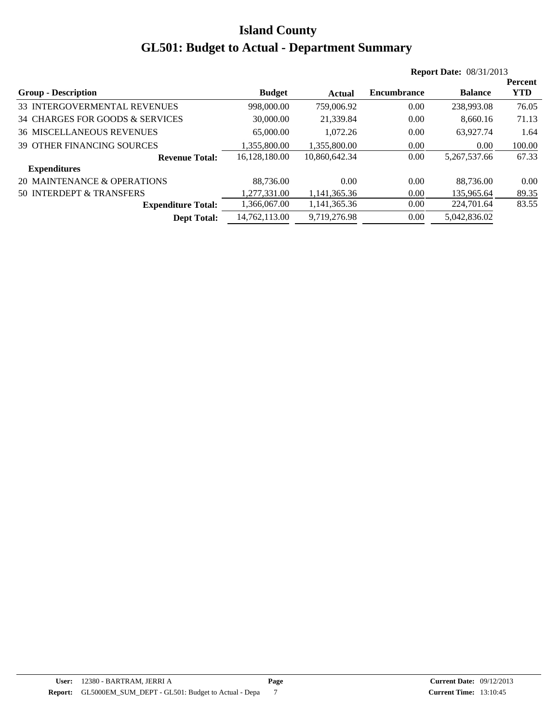|                                   |               |               |                    | <b>Report Date: 08/31/2013</b> |            |
|-----------------------------------|---------------|---------------|--------------------|--------------------------------|------------|
|                                   |               |               |                    |                                | Percent    |
| <b>Group - Description</b>        | <b>Budget</b> | Actual        | <b>Encumbrance</b> | <b>Balance</b>                 | <b>YTD</b> |
| 33 INTERGOVERMENTAL REVENUES      | 998,000.00    | 759,006.92    | 0.00               | 238,993.08                     | 76.05      |
| 34 CHARGES FOR GOODS & SERVICES   | 30,000.00     | 21,339.84     | 0.00               | 8.660.16                       | 71.13      |
| <b>36 MISCELLANEOUS REVENUES</b>  | 65,000.00     | 1.072.26      | 0.00               | 63,927.74                      | 1.64       |
| <b>39 OTHER FINANCING SOURCES</b> | 1.355.800.00  | 1.355.800.00  | 0.00               | 0.00                           | 100.00     |
| <b>Revenue Total:</b>             | 16,128,180.00 | 10,860,642.34 | 0.00               | 5,267,537.66                   | 67.33      |
| <b>Expenditures</b>               |               |               |                    |                                |            |
| 20 MAINTENANCE & OPERATIONS       | 88.736.00     | 0.00          | 0.00               | 88,736,00                      | 0.00       |
| 50 INTERDEPT & TRANSFERS          | 1.277.331.00  | 1.141.365.36  | 0.00               | 135,965.64                     | 89.35      |
| <b>Expenditure Total:</b>         | 1,366,067.00  | 1,141,365.36  | 0.00               | 224,701.64                     | 83.55      |
| <b>Dept Total:</b>                | 14.762.113.00 | 9.719.276.98  | 0.00               | 5.042.836.02                   |            |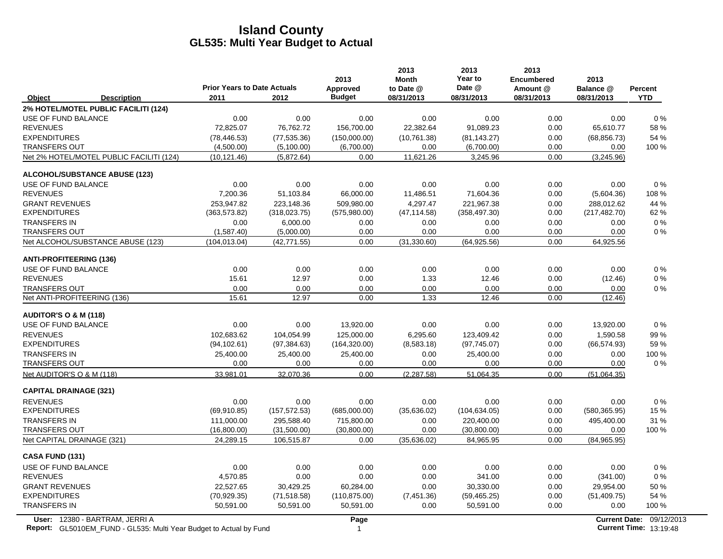|                                                                                                             | <b>Prior Years to Date Actuals</b> |               | 2013<br>Approved | 2013<br><b>Month</b><br>to Date @ | 2013<br>Year to<br>Date @ | 2013<br><b>Encumbered</b><br>Amount @ | 2013<br>Balance @ | <b>Percent</b>                                            |
|-------------------------------------------------------------------------------------------------------------|------------------------------------|---------------|------------------|-----------------------------------|---------------------------|---------------------------------------|-------------------|-----------------------------------------------------------|
| Object<br><b>Description</b>                                                                                | 2011                               | 2012          | <b>Budget</b>    | 08/31/2013                        | 08/31/2013                | 08/31/2013                            | 08/31/2013        | <b>YTD</b>                                                |
| 2% HOTEL/MOTEL PUBLIC FACILITI (124)                                                                        |                                    |               |                  |                                   |                           |                                       |                   |                                                           |
| USE OF FUND BALANCE                                                                                         | 0.00                               | 0.00          | 0.00             | 0.00                              | 0.00                      | 0.00                                  | 0.00              | 0%                                                        |
| <b>REVENUES</b>                                                                                             | 72,825.07                          | 76,762.72     | 156,700.00       | 22,382.64                         | 91,089.23                 | 0.00                                  | 65,610.77         | 58%                                                       |
| <b>EXPENDITURES</b>                                                                                         | (78, 446.53)                       | (77, 535.36)  | (150,000.00)     | (10,761.38)                       | (81, 143.27)              | 0.00                                  | (68, 856.73)      | 54 %                                                      |
| <b>TRANSFERS OUT</b>                                                                                        | (4,500.00)                         | (5,100.00)    | (6,700.00)       | 0.00                              | (6,700.00)                | 0.00                                  | 0.00              | 100 %                                                     |
| Net 2% HOTEL/MOTEL PUBLIC FACILITI (124)                                                                    | (10, 121.46)                       | (5,872.64)    | 0.00             | 11,621.26                         | 3,245.96                  | 0.00                                  | (3,245.96)        |                                                           |
| <b>ALCOHOL/SUBSTANCE ABUSE (123)</b>                                                                        |                                    |               |                  |                                   |                           |                                       |                   |                                                           |
| USE OF FUND BALANCE                                                                                         | 0.00                               | 0.00          | 0.00             | 0.00                              | 0.00                      | 0.00                                  | 0.00              | 0%                                                        |
| <b>REVENUES</b>                                                                                             | 7,200.36                           | 51,103.84     | 66,000.00        | 11,486.51                         | 71,604.36                 | 0.00                                  | (5,604.36)        | 108 %                                                     |
| <b>GRANT REVENUES</b>                                                                                       | 253,947.82                         | 223,148.36    | 509,980.00       | 4,297.47                          | 221,967.38                | 0.00                                  | 288,012.62        | 44 %                                                      |
| <b>EXPENDITURES</b>                                                                                         | (363, 573.82)                      | (318, 023.75) | (575,980.00)     | (47, 114.58)                      | (358, 497.30)             | 0.00                                  | (217, 482.70)     | 62 %                                                      |
| <b>TRANSFERS IN</b>                                                                                         | 0.00                               | 6,000.00      | 0.00             | 0.00                              | 0.00                      | 0.00                                  | 0.00              | $0\%$                                                     |
| <b>TRANSFERS OUT</b>                                                                                        | (1,587.40)                         | (5,000.00)    | 0.00             | 0.00                              | 0.00                      | 0.00                                  | 0.00              | $0\%$                                                     |
| Net ALCOHOL/SUBSTANCE ABUSE (123)                                                                           | (104, 013.04)                      | (42, 771.55)  | 0.00             | (31, 330.60)                      | (64, 925.56)              | 0.00                                  | 64,925.56         |                                                           |
| <b>ANTI-PROFITEERING (136)</b>                                                                              |                                    |               |                  |                                   |                           |                                       |                   |                                                           |
| USE OF FUND BALANCE                                                                                         | 0.00                               | 0.00          | 0.00             | 0.00                              | 0.00                      | 0.00                                  | 0.00              | 0%                                                        |
| <b>REVENUES</b>                                                                                             | 15.61                              | 12.97         | 0.00             | 1.33                              | 12.46                     | 0.00                                  | (12.46)           | 0%                                                        |
| <b>TRANSFERS OUT</b>                                                                                        | 0.00                               | 0.00          | 0.00             | 0.00                              | 0.00                      | 0.00                                  | 0.00              | $0\%$                                                     |
| Net ANTI-PROFITEERING (136)                                                                                 | 15.61                              | 12.97         | 0.00             | 1.33                              | 12.46                     | 0.00                                  | (12.46)           |                                                           |
| <b>AUDITOR'S O &amp; M (118)</b>                                                                            |                                    |               |                  |                                   |                           |                                       |                   |                                                           |
| USE OF FUND BALANCE                                                                                         | 0.00                               | 0.00          | 13,920.00        | 0.00                              | 0.00                      | 0.00                                  | 13,920.00         | $0\%$                                                     |
| <b>REVENUES</b>                                                                                             | 102,683.62                         | 104,054.99    | 125,000.00       | 6,295.60                          | 123,409.42                | 0.00                                  | 1,590.58          | 99%                                                       |
| <b>EXPENDITURES</b>                                                                                         | (94, 102.61)                       | (97, 384.63)  | (164, 320.00)    | (8,583.18)                        | (97, 745.07)              | 0.00                                  | (66, 574.93)      | 59 %                                                      |
| <b>TRANSFERS IN</b>                                                                                         | 25,400.00                          | 25,400.00     | 25,400.00        | 0.00                              | 25,400.00                 | 0.00                                  | 0.00              | 100 %                                                     |
| <b>TRANSFERS OUT</b>                                                                                        | 0.00                               | 0.00          | 0.00             | 0.00                              | 0.00                      | 0.00                                  | 0.00              | $0\%$                                                     |
| Net AUDITOR'S O & M (118)                                                                                   | 33,981.01                          | 32,070.36     | 0.00             | (2, 287.58)                       | 51,064.35                 | 0.00                                  | (51,064.35)       |                                                           |
| <b>CAPITAL DRAINAGE (321)</b>                                                                               |                                    |               |                  |                                   |                           |                                       |                   |                                                           |
| <b>REVENUES</b>                                                                                             | 0.00                               | 0.00          | 0.00             | 0.00                              | 0.00                      | 0.00                                  | 0.00              | 0%                                                        |
| <b>EXPENDITURES</b>                                                                                         | (69, 910.85)                       | (157, 572.53) | (685,000.00)     | (35,636.02)                       | (104, 634.05)             | 0.00                                  | (580, 365.95)     | 15 %                                                      |
| <b>TRANSFERS IN</b>                                                                                         | 111,000.00                         | 295,588.40    | 715,800.00       | 0.00                              | 220,400.00                | 0.00                                  | 495,400.00        | 31 %                                                      |
| <b>TRANSFERS OUT</b>                                                                                        | (16,800.00)                        | (31,500.00)   | (30,800.00)      | 0.00                              | (30,800.00)               | 0.00                                  | 0.00              | 100 %                                                     |
| Net CAPITAL DRAINAGE (321)                                                                                  | 24,289.15                          | 106,515.87    | 0.00             | (35, 636.02)                      | 84,965.95                 | 0.00                                  | (84,965.95)       |                                                           |
| <b>CASA FUND (131)</b>                                                                                      |                                    |               |                  |                                   |                           |                                       |                   |                                                           |
| USE OF FUND BALANCE                                                                                         | 0.00                               | 0.00          | 0.00             | 0.00                              | 0.00                      | 0.00                                  | 0.00              | 0%                                                        |
| <b>REVENUES</b>                                                                                             | 4,570.85                           | 0.00          | 0.00             | 0.00                              | 341.00                    | 0.00                                  | (341.00)          | 0%                                                        |
| <b>GRANT REVENUES</b>                                                                                       | 22,527.65                          | 30,429.25     | 60,284.00        | 0.00                              | 30,330.00                 | 0.00                                  | 29,954.00         | 50 %                                                      |
| <b>EXPENDITURES</b>                                                                                         | (70, 929.35)                       | (71, 518.58)  | (110, 875.00)    | (7,451.36)                        | (59, 465.25)              | 0.00                                  | (51, 409.75)      | 54 %                                                      |
| <b>TRANSFERS IN</b>                                                                                         | 50,591.00                          | 50,591.00     | 50,591.00        | 0.00                              | 50,591.00                 | 0.00                                  | 0.00              | 100 %                                                     |
| User: 12380 - BARTRAM, JERRI A<br><b>Report:</b> GL5010EM FUND - GL535: Multi Year Budget to Actual by Fund |                                    |               | Page<br>1        |                                   |                           |                                       |                   | Current Date: 09/12/2013<br><b>Current Time: 13:19:48</b> |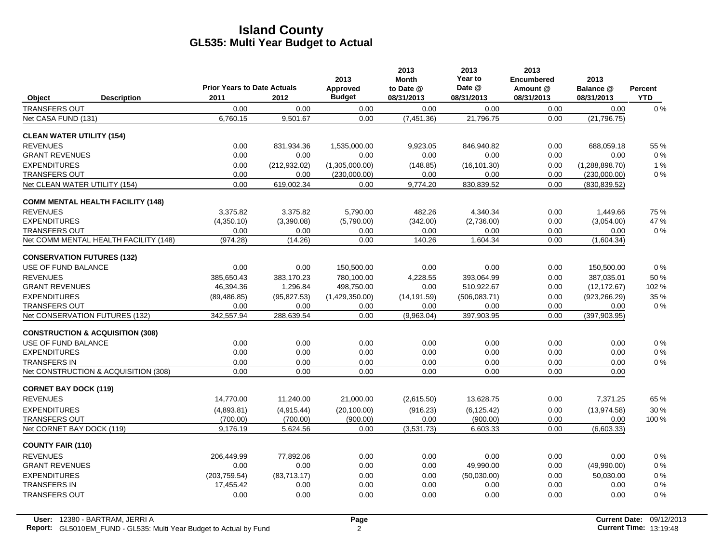|                                   |                                             | <b>Prior Years to Date Actuals</b> |               | 2013<br>Approved | 2013<br><b>Month</b><br>to Date @ | 2013<br>Year to<br>Date @ | 2013<br><b>Encumbered</b><br>Amount @ | 2013<br>Balance @ | Percent    |
|-----------------------------------|---------------------------------------------|------------------------------------|---------------|------------------|-----------------------------------|---------------------------|---------------------------------------|-------------------|------------|
| Object                            | <b>Description</b>                          | 2011                               | 2012          | <b>Budget</b>    | 08/31/2013                        | 08/31/2013                | 08/31/2013                            | 08/31/2013        | <b>YTD</b> |
| <b>TRANSFERS OUT</b>              |                                             | 0.00                               | 0.00          | 0.00             | 0.00                              | 0.00                      | 0.00                                  | 0.00              | $0\%$      |
| Net CASA FUND (131)               |                                             | 6,760.15                           | 9,501.67      | 0.00             | (7,451.36)                        | 21,796.75                 | 0.00                                  | (21, 796.75)      |            |
| <b>CLEAN WATER UTILITY (154)</b>  |                                             |                                    |               |                  |                                   |                           |                                       |                   |            |
| <b>REVENUES</b>                   |                                             | 0.00                               | 831,934.36    | 1,535,000.00     | 9,923.05                          | 846.940.82                | 0.00                                  | 688,059.18        | 55 %       |
| <b>GRANT REVENUES</b>             |                                             | 0.00                               | 0.00          | 0.00             | 0.00                              | 0.00                      | 0.00                                  | 0.00              | $0\%$      |
| <b>EXPENDITURES</b>               |                                             | 0.00                               | (212, 932.02) | (1,305,000.00)   | (148.85)                          | (16, 101.30)              | 0.00                                  | (1,288,898.70)    | 1%         |
| <b>TRANSFERS OUT</b>              |                                             | 0.00                               | 0.00          | (230,000.00)     | 0.00                              | 0.00                      | 0.00                                  | (230,000.00)      | $0\%$      |
| Net CLEAN WATER UTILITY (154)     |                                             | 0.00                               | 619,002.34    | 0.00             | 9,774.20                          | 830,839.52                | 0.00                                  | (830, 839.52)     |            |
|                                   | <b>COMM MENTAL HEALTH FACILITY (148)</b>    |                                    |               |                  |                                   |                           |                                       |                   |            |
| <b>REVENUES</b>                   |                                             | 3.375.82                           | 3.375.82      | 5,790.00         | 482.26                            | 4,340.34                  | 0.00                                  | 1.449.66          | 75 %       |
| <b>EXPENDITURES</b>               |                                             | (4,350.10)                         | (3,390.08)    | (5,790.00)       | (342.00)                          | (2,736.00)                | 0.00                                  | (3,054.00)        | 47 %       |
| <b>TRANSFERS OUT</b>              |                                             | 0.00                               | 0.00          | 0.00             | 0.00                              | 0.00                      | 0.00                                  | 0.00              | $0\%$      |
|                                   | Net COMM MENTAL HEALTH FACILITY (148)       | (974.28)                           | (14.26)       | 0.00             | 140.26                            | 1,604.34                  | 0.00                                  | (1,604.34)        |            |
| <b>CONSERVATION FUTURES (132)</b> |                                             |                                    |               |                  |                                   |                           |                                       |                   |            |
| USE OF FUND BALANCE               |                                             | 0.00                               | 0.00          | 150,500.00       | 0.00                              | 0.00                      | 0.00                                  | 150,500.00        | $0\%$      |
| <b>REVENUES</b>                   |                                             | 385.650.43                         | 383.170.23    | 780.100.00       | 4.228.55                          | 393.064.99                | 0.00                                  | 387.035.01        | 50%        |
| <b>GRANT REVENUES</b>             |                                             | 46,394.36                          | 1,296.84      | 498,750.00       | 0.00                              | 510,922.67                | 0.00                                  | (12, 172.67)      | 102 %      |
| <b>EXPENDITURES</b>               |                                             | (89, 486.85)                       | (95, 827.53)  | (1,429,350.00)   | (14, 191.59)                      | (506, 083.71)             | 0.00                                  | (923, 266.29)     | 35 %       |
| <b>TRANSFERS OUT</b>              |                                             | 0.00                               | 0.00          | 0.00             | 0.00                              | 0.00                      | 0.00                                  | 0.00              | $0\%$      |
| Net CONSERVATION FUTURES (132)    |                                             | 342,557.94                         | 288,639.54    | 0.00             | (9,963.04)                        | 397,903.95                | 0.00                                  | (397, 903.95)     |            |
|                                   | <b>CONSTRUCTION &amp; ACQUISITION (308)</b> |                                    |               |                  |                                   |                           |                                       |                   |            |
| USE OF FUND BALANCE               |                                             | 0.00                               | 0.00          | 0.00             | 0.00                              | 0.00                      | 0.00                                  | 0.00              | $0\%$      |
| <b>EXPENDITURES</b>               |                                             | 0.00                               | 0.00          | 0.00             | 0.00                              | 0.00                      | 0.00                                  | 0.00              | $0\%$      |
| <b>TRANSFERS IN</b>               |                                             | 0.00                               | 0.00          | 0.00             | 0.00                              | 0.00                      | 0.00                                  | 0.00              | $0\%$      |
|                                   | Net CONSTRUCTION & ACQUISITION (308)        | 0.00                               | 0.00          | 0.00             | 0.00                              | 0.00                      | 0.00                                  | 0.00              |            |
| <b>CORNET BAY DOCK (119)</b>      |                                             |                                    |               |                  |                                   |                           |                                       |                   |            |
| <b>REVENUES</b>                   |                                             | 14,770.00                          | 11,240.00     | 21,000.00        | (2,615.50)                        | 13,628.75                 | 0.00                                  | 7.371.25          | 65 %       |
| <b>EXPENDITURES</b>               |                                             | (4,893.81)                         | (4,915.44)    | (20, 100.00)     | (916.23)                          | (6, 125.42)               | 0.00                                  | (13, 974.58)      | 30 %       |
| <b>TRANSFERS OUT</b>              |                                             | (700.00)                           | (700.00)      | (900.00)         | 0.00                              | (900.00)                  | 0.00                                  | 0.00              | 100 %      |
| Net CORNET BAY DOCK (119)         |                                             | 9,176.19                           | 5,624.56      | 0.00             | (3,531.73)                        | 6,603.33                  | 0.00                                  | (6,603.33)        |            |
| <b>COUNTY FAIR (110)</b>          |                                             |                                    |               |                  |                                   |                           |                                       |                   |            |
| <b>REVENUES</b>                   |                                             | 206.449.99                         | 77,892.06     | 0.00             | 0.00                              | 0.00                      | 0.00                                  | 0.00              | $0\%$      |
| <b>GRANT REVENUES</b>             |                                             | 0.00                               | 0.00          | 0.00             | 0.00                              | 49,990.00                 | 0.00                                  | (49,990.00)       | 0%         |
| <b>EXPENDITURES</b>               |                                             | (203, 759.54)                      | (83,713.17)   | 0.00             | 0.00                              | (50,030.00)               | 0.00                                  | 50,030.00         | $0\%$      |
| <b>TRANSFERS IN</b>               |                                             | 17,455.42                          | 0.00          | 0.00             | 0.00                              | 0.00                      | 0.00                                  | 0.00              | $0\%$      |
| <b>TRANSFERS OUT</b>              |                                             | 0.00                               | 0.00          | 0.00             | 0.00                              | 0.00                      | 0.00                                  | 0.00              | 0%         |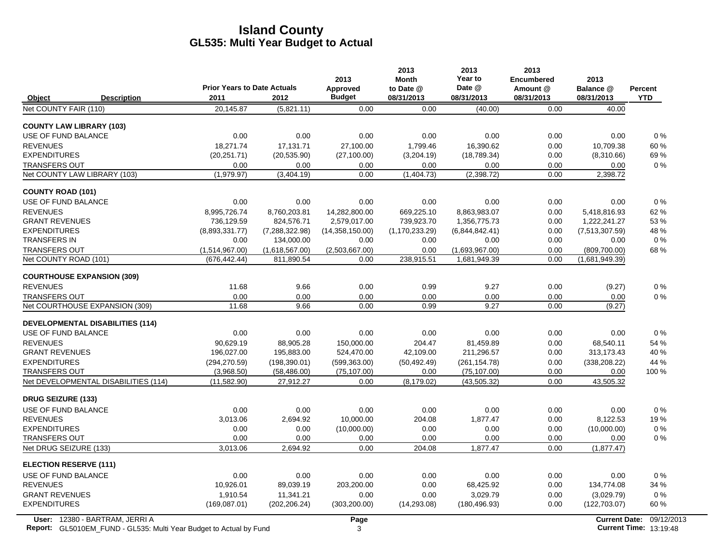|                                               |                                    |                              | 2013                   | 2013<br><b>Month</b> | 2013<br>Year to                | 2013<br><b>Encumbered</b> | 2013                            |                |
|-----------------------------------------------|------------------------------------|------------------------------|------------------------|----------------------|--------------------------------|---------------------------|---------------------------------|----------------|
|                                               | <b>Prior Years to Date Actuals</b> |                              | Approved               | to Date @            | Date @                         | Amount @                  | Balance @                       | <b>Percent</b> |
| Object<br><b>Description</b>                  | 2011                               | 2012                         | <b>Budget</b>          | 08/31/2013           | 08/31/2013                     | 08/31/2013                | 08/31/2013                      | <b>YTD</b>     |
| Net COUNTY FAIR (110)                         | 20,145.87                          | (5,821.11)                   | 0.00                   | 0.00                 | (40.00)                        | 0.00                      | 40.00                           |                |
| <b>COUNTY LAW LIBRARY (103)</b>               |                                    |                              |                        |                      |                                |                           |                                 |                |
| USE OF FUND BALANCE                           | 0.00                               | 0.00                         | 0.00                   | 0.00                 | 0.00                           | 0.00                      | 0.00                            | $0\%$          |
| <b>REVENUES</b>                               | 18.271.74                          | 17,131.71                    | 27,100.00              | 1,799.46             | 16.390.62                      | 0.00                      | 10,709.38                       | 60%            |
| <b>EXPENDITURES</b>                           | (20, 251.71)                       | (20, 535.90)                 | (27, 100.00)           | (3,204.19)           | (18,789.34)                    | 0.00                      | (8,310.66)                      | 69 %           |
| <b>TRANSFERS OUT</b>                          | 0.00                               | 0.00                         | 0.00                   | 0.00                 | 0.00                           | 0.00                      | 0.00                            | $0\%$          |
| Net COUNTY LAW LIBRARY (103)                  | (1,979.97)                         | (3,404.19)                   | 0.00                   | (1,404.73)           | (2,398.72)                     | 0.00                      | 2,398.72                        |                |
| <b>COUNTY ROAD (101)</b>                      |                                    |                              |                        |                      |                                |                           |                                 |                |
| USE OF FUND BALANCE                           | 0.00                               | 0.00                         | 0.00                   | 0.00                 | 0.00                           | 0.00                      | 0.00                            | 0%             |
| <b>REVENUES</b>                               | 8.995.726.74                       | 8.760.203.81                 | 14.282.800.00          | 669.225.10           | 8.863.983.07                   | 0.00                      | 5.418.816.93                    | 62%            |
| <b>GRANT REVENUES</b>                         | 736,129.59                         | 824,576.71                   | 2,579,017.00           | 739,923.70           | 1,356,775.73                   | 0.00                      | 1,222,241.27                    | 53%            |
| <b>EXPENDITURES</b>                           | (8,893,331.77)                     | (7,288,322.98)               | (14,358,150.00)        | (1, 170, 233, 29)    | (6,844,842.41)                 | 0.00                      | (7,513,307.59)                  | 48 %           |
| <b>TRANSFERS IN</b>                           | 0.00                               | 134,000.00                   | 0.00                   | 0.00                 | 0.00                           | 0.00                      | 0.00                            | 0%             |
| <b>TRANSFERS OUT</b><br>Net COUNTY ROAD (101) | (1,514,967.00)<br>(676, 442.44)    | (1,618,567.00)<br>811,890.54 | (2,503,667.00)<br>0.00 | 0.00<br>238,915.51   | (1,693,967.00)<br>1,681,949.39 | 0.00<br>0.00              | (809, 700.00)<br>(1,681,949.39) | 68%            |
|                                               |                                    |                              |                        |                      |                                |                           |                                 |                |
| <b>COURTHOUSE EXPANSION (309)</b>             |                                    |                              |                        |                      |                                |                           |                                 |                |
| <b>REVENUES</b>                               | 11.68                              | 9.66                         | 0.00                   | 0.99                 | 9.27                           | 0.00                      | (9.27)                          | $0\%$          |
| <b>TRANSFERS OUT</b>                          | 0.00                               | 0.00                         | 0.00                   | 0.00                 | 0.00                           | 0.00                      | 0.00                            | $0\%$          |
| Net COURTHOUSE EXPANSION (309)                | 11.68                              | 9.66                         | 0.00                   | 0.99                 | 9.27                           | 0.00                      | (9.27)                          |                |
| <b>DEVELOPMENTAL DISABILITIES (114)</b>       |                                    |                              |                        |                      |                                |                           |                                 |                |
| USE OF FUND BALANCE                           | 0.00                               | 0.00                         | 0.00                   | 0.00                 | 0.00                           | 0.00                      | 0.00                            | 0%             |
| <b>REVENUES</b>                               | 90,629.19                          | 88,905.28                    | 150,000.00             | 204.47               | 81,459.89                      | 0.00                      | 68,540.11                       | 54 %           |
| <b>GRANT REVENUES</b>                         | 196,027.00                         | 195,883.00                   | 524,470.00             | 42,109.00            | 211,296.57                     | 0.00                      | 313,173.43                      | 40%            |
| <b>EXPENDITURES</b>                           | (294, 270.59)                      | (198, 390.01)                | (599, 363.00)          | (50, 492.49)         | (261, 154.78)                  | 0.00                      | (338, 208.22)                   | 44 %           |
| <b>TRANSFERS OUT</b>                          | (3,968.50)                         | (58, 486.00)                 | (75, 107.00)           | 0.00                 | (75, 107.00)                   | 0.00                      | 0.00                            | 100 %          |
| Net DEVELOPMENTAL DISABILITIES (114)          | (11,582.90)                        | 27,912.27                    | 0.00                   | (8, 179.02)          | (43,505.32)                    | 0.00                      | 43,505.32                       |                |
| <b>DRUG SEIZURE (133)</b>                     |                                    |                              |                        |                      |                                |                           |                                 |                |
| <b>USE OF FUND BALANCE</b>                    | 0.00                               | 0.00                         | 0.00                   | 0.00                 | 0.00                           | 0.00                      | 0.00                            | 0%             |
| <b>REVENUES</b>                               | 3,013.06                           | 2,694.92                     | 10,000.00              | 204.08               | 1,877.47                       | 0.00                      | 8,122.53                        | 19%            |
| <b>EXPENDITURES</b>                           | 0.00                               | 0.00                         | (10,000.00)            | 0.00                 | 0.00                           | 0.00                      | (10,000.00)                     | $0\%$          |
| <b>TRANSFERS OUT</b>                          | 0.00                               | 0.00                         | 0.00                   | 0.00                 | 0.00                           | 0.00                      | 0.00                            | $0\%$          |
| Net DRUG SEIZURE (133)                        | 3,013.06                           | 2,694.92                     | 0.00                   | 204.08               | 1,877.47                       | 0.00                      | (1,877.47)                      |                |
| <b>ELECTION RESERVE (111)</b>                 |                                    |                              |                        |                      |                                |                           |                                 |                |
| USE OF FUND BALANCE                           | 0.00                               | 0.00                         | 0.00                   | 0.00                 | 0.00                           | 0.00                      | 0.00                            | $0\%$          |
| <b>REVENUES</b>                               | 10,926.01                          | 89,039.19                    | 203,200.00             | 0.00                 | 68,425.92                      | 0.00                      | 134,774.08                      | 34 %           |
| <b>GRANT REVENUES</b>                         | 1.910.54                           | 11.341.21                    | 0.00                   | 0.00                 | 3.029.79                       | 0.00                      | (3,029.79)                      | 0%             |
| <b>EXPENDITURES</b>                           | (169,087.01)                       | (202, 206.24)                | (303, 200.00)          | (14, 293.08)         | (180, 496.93)                  | 0.00                      | (122, 703.07)                   | 60%            |
|                                               |                                    |                              |                        |                      |                                |                           |                                 |                |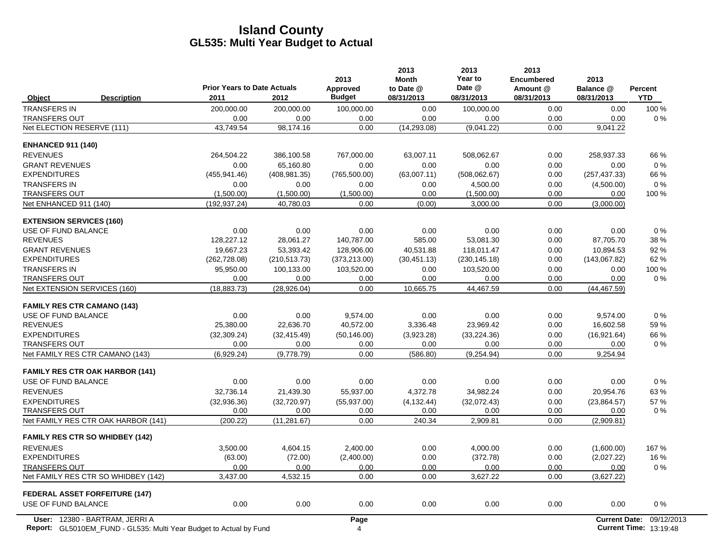|                                                             | <b>Prior Years to Date Actuals</b> |                      | 2013<br>Approved | 2013<br><b>Month</b><br>to Date @ | 2013<br>Year to<br>Date @ | 2013<br><b>Encumbered</b><br>Amount @ | 2013<br>Balance @    | Percent    |
|-------------------------------------------------------------|------------------------------------|----------------------|------------------|-----------------------------------|---------------------------|---------------------------------------|----------------------|------------|
| <b>Description</b><br>Object                                | 2011                               | 2012                 | <b>Budget</b>    | 08/31/2013                        | 08/31/2013                | 08/31/2013                            | 08/31/2013           | <b>YTD</b> |
| <b>TRANSFERS IN</b>                                         | 200,000.00                         | 200,000.00           | 100,000.00       | 0.00                              | 100,000.00                | 0.00                                  | 0.00                 | 100 %      |
| <b>TRANSFERS OUT</b>                                        | 0.00                               | 0.00                 | 0.00             | 0.00                              | 0.00                      | 0.00                                  | 0.00                 | 0%         |
| Net ELECTION RESERVE (111)                                  | 43,749.54                          | 98,174.16            | 0.00             | (14, 293.08)                      | (9,041.22)                | 0.00                                  | 9,041.22             |            |
| <b>ENHANCED 911 (140)</b>                                   |                                    |                      |                  |                                   |                           |                                       |                      |            |
| <b>REVENUES</b>                                             | 264,504.22                         | 386,100.58           | 767,000.00       | 63,007.11                         | 508,062.67                | 0.00                                  | 258,937.33           | 66 %       |
| <b>GRANT REVENUES</b>                                       | 0.00                               | 65,160.80            | 0.00             | 0.00                              | 0.00                      | 0.00                                  | 0.00                 | 0%         |
| <b>EXPENDITURES</b>                                         | (455, 941.46)                      | (408, 981.35)        | (765, 500.00)    | (63,007.11)                       | (508, 062.67)             | 0.00                                  | (257, 437.33)        | 66 %       |
| <b>TRANSFERS IN</b>                                         | 0.00                               | 0.00                 | 0.00             | 0.00                              | 4.500.00                  | 0.00                                  | (4,500.00)           | 0%         |
| <b>TRANSFERS OUT</b>                                        | (1,500.00)                         | (1,500.00)           | (1,500.00)       | 0.00                              | (1,500.00)                | 0.00                                  | 0.00                 | 100 %      |
| Net ENHANCED 911 (140)                                      | (192, 937.24)                      | 40,780.03            | 0.00             | (0.00)                            | 3,000.00                  | 0.00                                  | (3,000.00)           |            |
| <b>EXTENSION SERVICES (160)</b>                             |                                    |                      |                  |                                   |                           |                                       |                      |            |
| USE OF FUND BALANCE                                         | 0.00                               | 0.00                 | 0.00             | 0.00                              | 0.00                      | 0.00                                  | 0.00                 | 0%         |
| <b>REVENUES</b>                                             | 128,227.12                         | 28,061.27            | 140,787.00       | 585.00                            | 53,081.30                 | 0.00                                  | 87,705.70            | 38 %       |
| <b>GRANT REVENUES</b>                                       | 19.667.23                          | 53,393.42            | 128.906.00       | 40,531.88                         | 118.011.47                | 0.00                                  | 10.894.53            | 92%        |
| <b>EXPENDITURES</b>                                         | (262, 728.08)                      | (210, 513.73)        | (373, 213.00)    | (30, 451.13)                      | (230, 145.18)             | 0.00                                  | (143,067.82)         | 62%        |
| <b>TRANSFERS IN</b>                                         | 95,950.00                          | 100,133.00           | 103,520.00       | 0.00                              | 103,520.00                | 0.00                                  | 0.00                 | 100 %      |
| <b>TRANSFERS OUT</b>                                        | 0.00                               | 0.00                 | 0.00             | 0.00                              | 0.00                      | 0.00                                  | 0.00                 | 0%         |
| Net EXTENSION SERVICES (160)                                | (18, 883.73)                       | (28, 926.04)         | 0.00             | 10,665.75                         | 44,467.59                 | 0.00                                  | (44, 467.59)         |            |
| <b>FAMILY RES CTR CAMANO (143)</b>                          |                                    |                      |                  |                                   |                           |                                       |                      |            |
| USE OF FUND BALANCE                                         | 0.00                               | 0.00                 | 9.574.00         | 0.00                              | 0.00                      | 0.00                                  | 9.574.00             | 0%         |
| <b>REVENUES</b>                                             | 25,380.00                          | 22,636.70            | 40,572.00        | 3,336.48                          | 23,969.42                 | 0.00                                  | 16,602.58            | 59%        |
| <b>EXPENDITURES</b>                                         | (32, 309.24)                       | (32, 415.49)         | (50, 146.00)     | (3,923.28)                        | (33, 224.36)              | 0.00                                  | (16.921.64)          | 66 %       |
| <b>TRANSFERS OUT</b>                                        | 0.00                               | 0.00                 | 0.00             | 0.00                              | 0.00                      | 0.00                                  | 0.00                 | $0\%$      |
| Net FAMILY RES CTR CAMANO (143)                             | (6.929.24)                         | (9,778.79)           | 0.00             | (586.80)                          | (9.254.94)                | 0.00                                  | 9,254.94             |            |
| <b>FAMILY RES CTR OAK HARBOR (141)</b>                      |                                    |                      |                  |                                   |                           |                                       |                      |            |
| USE OF FUND BALANCE                                         | 0.00                               | 0.00                 | 0.00             | 0.00                              | 0.00                      | 0.00                                  | 0.00                 | 0%         |
| <b>REVENUES</b>                                             | 32.736.14                          | 21,439.30            | 55,937.00        | 4,372.78                          | 34,982.24                 | 0.00                                  | 20.954.76            | 63%        |
| <b>EXPENDITURES</b>                                         | (32, 936.36)                       | (32, 720.97)         | (55, 937.00)     | (4, 132.44)                       | (32,072.43)               | 0.00                                  | (23, 864.57)         | 57 %       |
| <b>TRANSFERS OUT</b><br>Net FAMILY RES CTR OAK HARBOR (141) | 0.00<br>(200.22)                   | 0.00<br>(11, 281.67) | 0.00<br>0.00     | 0.00<br>240.34                    | 0.00<br>2,909.81          | 0.00<br>0.00                          | 0.00<br>(2,909.81)   | $0\%$      |
|                                                             |                                    |                      |                  |                                   |                           |                                       |                      |            |
| <b>FAMILY RES CTR SO WHIDBEY (142)</b>                      |                                    |                      |                  |                                   |                           |                                       |                      |            |
| <b>REVENUES</b>                                             | 3.500.00                           | 4,604.15             | 2.400.00         | 0.00                              | 4.000.00                  | 0.00                                  | (1,600.00)           | 167%       |
| <b>EXPENDITURES</b>                                         | (63.00)                            | (72.00)              | (2,400.00)       | 0.00                              | (372.78)                  | 0.00                                  | (2,027.22)           | 16 %       |
| <b>TRANSFERS OUT</b>                                        | 0.00                               | 0.00                 | 0.00             | 0.00                              | 0.00                      | 0.00                                  | 0.00                 | 0%         |
| Net FAMILY RES CTR SO WHIDBEY (142)                         | 3,437.00                           | 4,532.15             | 0.00             | 0.00                              | 3,627.22                  | 0.00                                  | (3,627.22)           |            |
| <b>FEDERAL ASSET FORFEITURE (147)</b>                       |                                    |                      |                  |                                   |                           |                                       |                      |            |
| USE OF FUND BALANCE                                         | 0.00                               | 0.00                 | 0.00             | 0.00                              | 0.00                      | 0.00                                  | 0.00                 | 0%         |
| User: 12380 - BARTRAM, JERRI A                              |                                    |                      | Page             |                                   |                           |                                       | <b>Current Date:</b> | 09/12/2013 |

**Report:** 4 **Current Time:** GL5010EM\_FUND - GL535: Multi Year Budget to Actual by Fund 13:19:48 (2008) 4 And 13:19:48 (2009) 4 And 13:19:48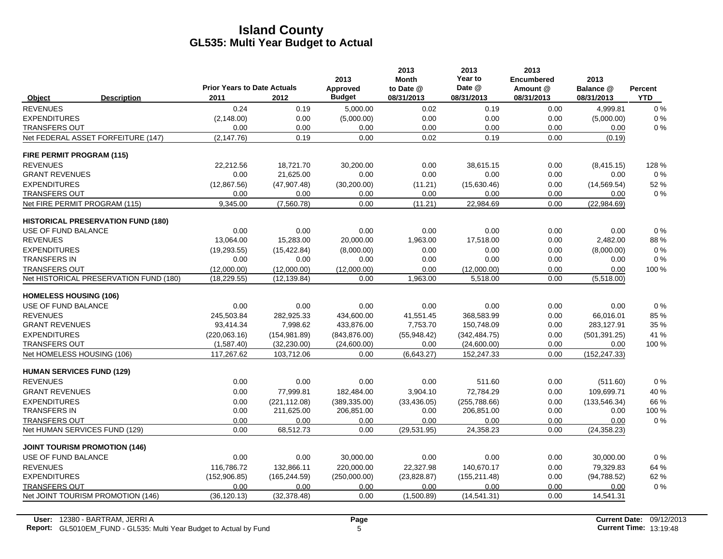|                                      |                                           |                                            |               | 2013                      | 2013<br><b>Month</b>    | 2013<br>Year to      | 2013<br><b>Encumbered</b> | 2013                    |                       |
|--------------------------------------|-------------------------------------------|--------------------------------------------|---------------|---------------------------|-------------------------|----------------------|---------------------------|-------------------------|-----------------------|
| Object                               | <b>Description</b>                        | <b>Prior Years to Date Actuals</b><br>2011 | 2012          | Approved<br><b>Budget</b> | to Date @<br>08/31/2013 | Date @<br>08/31/2013 | Amount @<br>08/31/2013    | Balance @<br>08/31/2013 | Percent<br><b>YTD</b> |
| <b>REVENUES</b>                      |                                           | 0.24                                       | 0.19          | 5,000.00                  | 0.02                    | 0.19                 | 0.00                      | 4,999.81                | $0\%$                 |
| <b>EXPENDITURES</b>                  |                                           | (2, 148.00)                                | 0.00          | (5,000.00)                | 0.00                    | 0.00                 | 0.00                      | (5,000.00)              | 0%                    |
| <b>TRANSFERS OUT</b>                 |                                           | 0.00                                       | 0.00          | 0.00                      | 0.00                    | 0.00                 | 0.00                      | 0.00                    | 0%                    |
|                                      | Net FEDERAL ASSET FORFEITURE (147)        | (2, 147.76)                                | 0.19          | 0.00                      | 0.02                    | 0.19                 | 0.00                      | (0.19)                  |                       |
| <b>FIRE PERMIT PROGRAM (115)</b>     |                                           |                                            |               |                           |                         |                      |                           |                         |                       |
| <b>REVENUES</b>                      |                                           | 22,212.56                                  | 18,721.70     | 30,200.00                 | 0.00                    | 38,615.15            | 0.00                      | (8, 415.15)             | 128 %                 |
| <b>GRANT REVENUES</b>                |                                           | 0.00                                       | 21,625.00     | 0.00                      | 0.00                    | 0.00                 | 0.00                      | 0.00                    | 0%                    |
| <b>EXPENDITURES</b>                  |                                           | (12, 867.56)                               | (47, 907.48)  | (30, 200.00)              | (11.21)                 | (15,630.46)          | 0.00                      | (14, 569.54)            | 52 %                  |
| <b>TRANSFERS OUT</b>                 |                                           | 0.00                                       | 0.00          | 0.00                      | 0.00                    | 0.00                 | 0.00                      | 0.00                    | $0\%$                 |
| Net FIRE PERMIT PROGRAM (115)        |                                           | 9,345.00                                   | (7,560.78)    | 0.00                      | (11.21)                 | 22,984.69            | 0.00                      | (22,984.69)             |                       |
|                                      | <b>HISTORICAL PRESERVATION FUND (180)</b> |                                            |               |                           |                         |                      |                           |                         |                       |
| USE OF FUND BALANCE                  |                                           | 0.00                                       | 0.00          | 0.00                      | 0.00                    | 0.00                 | 0.00                      | 0.00                    | 0%                    |
| <b>REVENUES</b>                      |                                           | 13,064.00                                  | 15,283.00     | 20,000.00                 | 1,963.00                | 17,518.00            | 0.00                      | 2,482.00                | 88%                   |
| <b>EXPENDITURES</b>                  |                                           | (19, 293.55)                               | (15, 422.84)  | (8,000.00)                | 0.00                    | 0.00                 | 0.00                      | (8,000.00)              | 0%                    |
| <b>TRANSFERS IN</b>                  |                                           | 0.00                                       | 0.00          | 0.00                      | 0.00                    | 0.00                 | 0.00                      | 0.00                    | 0%                    |
| <b>TRANSFERS OUT</b>                 |                                           | (12,000.00)                                | (12,000.00)   | (12,000.00)               | 0.00                    | (12,000.00)          | 0.00                      | 0.00                    | 100 %                 |
|                                      | Net HISTORICAL PRESERVATION FUND (180)    | (18, 229.55)                               | (12, 139.84)  | 0.00                      | 1,963.00                | 5,518.00             | 0.00                      | (5,518.00)              |                       |
| <b>HOMELESS HOUSING (106)</b>        |                                           |                                            |               |                           |                         |                      |                           |                         |                       |
| USE OF FUND BALANCE                  |                                           | 0.00                                       | 0.00          | 0.00                      | 0.00                    | 0.00                 | 0.00                      | 0.00                    | 0%                    |
| <b>REVENUES</b>                      |                                           | 245,503.84                                 | 282,925.33    | 434,600.00                | 41,551.45               | 368.583.99           | 0.00                      | 66,016.01               | 85 %                  |
| <b>GRANT REVENUES</b>                |                                           | 93,414.34                                  | 7,998.62      | 433,876.00                | 7,753.70                | 150,748.09           | 0.00                      | 283,127.91              | 35 %                  |
| <b>EXPENDITURES</b>                  |                                           | (220,063.16)                               | (154, 981.89) | (843, 876.00)             | (55,948.42)             | (342, 484.75)        | 0.00                      | (501, 391.25)           | 41 %                  |
| <b>TRANSFERS OUT</b>                 |                                           | (1,587.40)                                 | (32, 230.00)  | (24,600.00)               | 0.00                    | (24, 600.00)         | 0.00                      | 0.00                    | 100 %                 |
| Net HOMELESS HOUSING (106)           |                                           | 117,267.62                                 | 103,712.06    | 0.00                      | (6,643.27)              | 152,247.33           | 0.00                      | (152, 247.33)           |                       |
| <b>HUMAN SERVICES FUND (129)</b>     |                                           |                                            |               |                           |                         |                      |                           |                         |                       |
| <b>REVENUES</b>                      |                                           | 0.00                                       | 0.00          | 0.00                      | 0.00                    | 511.60               | 0.00                      | (511.60)                | 0%                    |
| <b>GRANT REVENUES</b>                |                                           | 0.00                                       | 77,999.81     | 182,484.00                | 3,904.10                | 72,784.29            | 0.00                      | 109,699.71              | 40 %                  |
| <b>EXPENDITURES</b>                  |                                           | 0.00                                       | (221, 112.08) | (389, 335.00)             | (33, 436.05)            | (255,788.66)         | 0.00                      | (133, 546.34)           | 66 %                  |
| <b>TRANSFERS IN</b>                  |                                           | 0.00                                       | 211,625.00    | 206,851.00                | 0.00                    | 206,851.00           | 0.00                      | 0.00                    | 100 %                 |
| <b>TRANSFERS OUT</b>                 |                                           | 0.00                                       | 0.00          | 0.00                      | 0.00                    | 0.00                 | 0.00                      | 0.00                    | 0%                    |
| Net HUMAN SERVICES FUND (129)        |                                           | 0.00                                       | 68,512.73     | 0.00                      | (29, 531.95)            | 24,358.23            | 0.00                      | (24, 358.23)            |                       |
| <b>JOINT TOURISM PROMOTION (146)</b> |                                           |                                            |               |                           |                         |                      |                           |                         |                       |
| USE OF FUND BALANCE                  |                                           | 0.00                                       | 0.00          | 30,000.00                 | 0.00                    | 0.00                 | 0.00                      | 30,000.00               | 0%                    |
| <b>REVENUES</b>                      |                                           | 116.786.72                                 | 132,866.11    | 220,000.00                | 22,327.98               | 140.670.17           | 0.00                      | 79,329.83               | 64 %                  |
| <b>EXPENDITURES</b>                  |                                           | (152,906.85)                               | (165, 244.59) | (250,000.00)              | (23,828.87)             | (155, 211.48)        | 0.00                      | (94,788.52)             | 62 %                  |
| <b>TRANSFERS OUT</b>                 |                                           | 0.00                                       | 0.00          | 0.00                      | 0.00                    | 0.00                 | 0.00                      | 0.00                    | $0\%$                 |
|                                      | Net JOINT TOURISM PROMOTION (146)         | (36, 120.13)                               | (32, 378.48)  | 0.00                      | (1,500.89)              | (14, 541.31)         | 0.00                      | 14,541.31               |                       |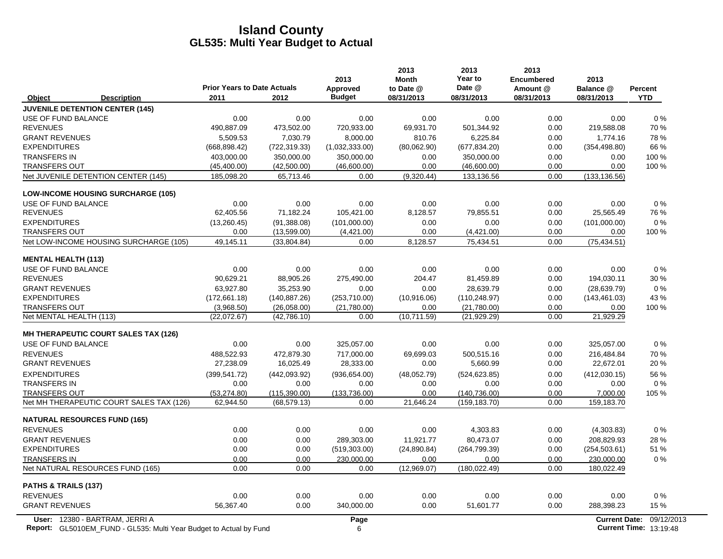|                                                                                                             | <b>Prior Years to Date Actuals</b> |               | 2013<br>Approved | 2013<br><b>Month</b><br>to Date @ | 2013<br>Year to<br>Date @ | 2013<br><b>Encumbered</b><br>Amount @ | 2013<br>Balance @ | Percent                                                   |
|-------------------------------------------------------------------------------------------------------------|------------------------------------|---------------|------------------|-----------------------------------|---------------------------|---------------------------------------|-------------------|-----------------------------------------------------------|
| <b>Description</b><br>Object                                                                                | 2011                               | 2012          | <b>Budget</b>    | 08/31/2013                        | 08/31/2013                | 08/31/2013                            | 08/31/2013        | <b>YTD</b>                                                |
| <b>JUVENILE DETENTION CENTER (145)</b>                                                                      |                                    |               |                  |                                   |                           |                                       |                   |                                                           |
| USE OF FUND BALANCE                                                                                         | 0.00                               | 0.00          | 0.00             | 0.00                              | 0.00                      | 0.00                                  | 0.00              | 0%                                                        |
| <b>REVENUES</b>                                                                                             | 490,887.09                         | 473,502.00    | 720,933.00       | 69,931.70                         | 501,344.92                | 0.00                                  | 219,588.08        | 70 %                                                      |
| <b>GRANT REVENUES</b>                                                                                       | 5,509.53                           | 7,030.79      | 8,000.00         | 810.76                            | 6,225.84                  | 0.00                                  | 1,774.16          | 78%                                                       |
| <b>EXPENDITURES</b>                                                                                         | (668, 898.42)                      | (722, 319.33) | (1,032,333.00)   | (80,062.90)                       | (677, 834.20)             | 0.00                                  | (354, 498.80)     | 66 %                                                      |
| <b>TRANSFERS IN</b>                                                                                         | 403,000.00                         | 350,000.00    | 350,000.00       | 0.00                              | 350,000.00                | 0.00                                  | 0.00              | 100 %                                                     |
| <b>TRANSFERS OUT</b>                                                                                        | (45, 400.00)                       | (42,500.00)   | (46,600.00)      | 0.00                              | (46,600.00)               | 0.00                                  | 0.00              | 100 %                                                     |
| Net JUVENILE DETENTION CENTER (145)                                                                         | 185,098.20                         | 65,713.46     | 0.00             | (9,320.44)                        | 133,136.56                | 0.00                                  | (133, 136.56)     |                                                           |
| <b>LOW-INCOME HOUSING SURCHARGE (105)</b>                                                                   |                                    |               |                  |                                   |                           |                                       |                   |                                                           |
| USE OF FUND BALANCE                                                                                         | 0.00                               | 0.00          | 0.00             | 0.00                              | 0.00                      | 0.00                                  | 0.00              | 0%                                                        |
| <b>REVENUES</b>                                                                                             | 62,405.56                          | 71,182.24     | 105,421.00       | 8,128.57                          | 79,855.51                 | 0.00                                  | 25,565.49         | 76 %                                                      |
| <b>EXPENDITURES</b>                                                                                         | (13, 260.45)                       | (91, 388.08)  | (101,000.00)     | 0.00                              | 0.00                      | 0.00                                  | (101,000.00)      | 0%                                                        |
| <b>TRANSFERS OUT</b>                                                                                        | 0.00                               | (13,599.00)   | (4,421.00)       | 0.00                              | (4,421.00)                | 0.00                                  | 0.00              | 100 %                                                     |
| Net LOW-INCOME HOUSING SURCHARGE (105)                                                                      | 49,145.11                          | (33,804.84)   | 0.00             | 8,128.57                          | 75,434.51                 | 0.00                                  | (75, 434.51)      |                                                           |
| <b>MENTAL HEALTH (113)</b>                                                                                  |                                    |               |                  |                                   |                           |                                       |                   |                                                           |
| USE OF FUND BALANCE                                                                                         | 0.00                               | 0.00          | 0.00             | 0.00                              | 0.00                      | 0.00                                  | 0.00              | 0%                                                        |
| <b>REVENUES</b>                                                                                             | 90,629.21                          | 88,905.26     | 275,490.00       | 204.47                            | 81,459.89                 | 0.00                                  | 194,030.11        | 30 %                                                      |
| <b>GRANT REVENUES</b>                                                                                       | 63,927.80                          | 35,253.90     | 0.00             | 0.00                              | 28,639.79                 | 0.00                                  | (28, 639.79)      | $0\%$                                                     |
| <b>EXPENDITURES</b>                                                                                         | (172,661.18)                       | (140, 887.26) | (253,710.00)     | (10,916.06)                       | (110, 248.97)             | 0.00                                  | (143, 461.03)     | 43 %                                                      |
| <b>TRANSFERS OUT</b>                                                                                        | (3,968.50)                         | (26,058.00)   | (21,780.00)      | 0.00                              | (21,780.00)               | 0.00                                  | 0.00              | 100 %                                                     |
| Net MENTAL HEALTH (113)                                                                                     | (22,072.67)                        | (42,786.10)   | 0.00             | (10,711.59)                       | (21, 929.29)              | 0.00                                  | 21,929.29         |                                                           |
| <b>MH THERAPEUTIC COURT SALES TAX (126)</b>                                                                 |                                    |               |                  |                                   |                           |                                       |                   |                                                           |
| USE OF FUND BALANCE                                                                                         | 0.00                               | 0.00          | 325,057.00       | 0.00                              | 0.00                      | 0.00                                  | 325,057.00        | $0\%$                                                     |
| <b>REVENUES</b>                                                                                             | 488,522.93                         | 472.879.30    | 717,000.00       | 69,699.03                         | 500,515.16                | 0.00                                  | 216,484.84        | 70%                                                       |
| <b>GRANT REVENUES</b>                                                                                       | 27,238.09                          | 16,025.49     | 28,333.00        | 0.00                              | 5,660.99                  | 0.00                                  | 22,672.01         | 20%                                                       |
| <b>EXPENDITURES</b>                                                                                         | (399.541.72)                       | (442, 093.92) | (936, 654.00)    | (48,052.79)                       | (524, 623.85)             | 0.00                                  | (412,030.15)      | 56 %                                                      |
| <b>TRANSFERS IN</b>                                                                                         | 0.00                               | 0.00          | 0.00             | 0.00                              | 0.00                      | 0.00                                  | 0.00              | $0\%$                                                     |
| <b>TRANSFERS OUT</b>                                                                                        | (53, 274.80)                       | (115.390.00)  | (133.736.00)     | 0.00                              | (140, 736.00)             | 0.00                                  | 7,000.00          | 105 %                                                     |
| Net MH THERAPEUTIC COURT SALES TAX (126)                                                                    | 62,944.50                          | (68, 579.13)  | 0.00             | 21,646.24                         | (159, 183.70)             | 0.00                                  | 159,183.70        |                                                           |
| <b>NATURAL RESOURCES FUND (165)</b>                                                                         |                                    |               |                  |                                   |                           |                                       |                   |                                                           |
| <b>REVENUES</b>                                                                                             | 0.00                               | 0.00          | 0.00             | 0.00                              | 4,303.83                  | 0.00                                  | (4,303.83)        | 0%                                                        |
| <b>GRANT REVENUES</b>                                                                                       | 0.00                               | 0.00          | 289,303.00       | 11,921.77                         | 80,473.07                 | 0.00                                  | 208,829.93        | 28 %                                                      |
| <b>EXPENDITURES</b>                                                                                         | 0.00                               | 0.00          | (519, 303.00)    | (24,890.84)                       | (264, 799.39)             | 0.00                                  | (254, 503.61)     | 51 %                                                      |
| <b>TRANSFERS IN</b>                                                                                         | 0.00                               | 0.00          | 230,000.00       | 0.00                              | 0.00                      | 0.00                                  | 230,000.00        | $0\%$                                                     |
| Net NATURAL RESOURCES FUND (165)                                                                            | 0.00                               | 0.00          | 0.00             | (12,969.07)                       | (180, 022.49)             | 0.00                                  | 180,022.49        |                                                           |
| PATHS & TRAILS (137)                                                                                        |                                    |               |                  |                                   |                           |                                       |                   |                                                           |
| <b>REVENUES</b>                                                                                             | 0.00                               | 0.00          | 0.00             | 0.00                              | 0.00                      | 0.00                                  | 0.00              | $0\%$                                                     |
| <b>GRANT REVENUES</b>                                                                                       | 56,367.40                          | 0.00          | 340,000.00       | 0.00                              | 51,601.77                 | 0.00                                  | 288,398.23        | 15 %                                                      |
| User: 12380 - BARTRAM, JERRI A<br><b>Report:</b> GL5010EM FUND - GL535: Multi Year Budget to Actual by Fund |                                    |               | Page<br>6        |                                   |                           |                                       |                   | Current Date: 09/12/2013<br><b>Current Time: 13:19:48</b> |

**Report:** 6 **Current Time:** GL5010EM\_FUND - GL535: Multi Year Budget to Actual by Fund 13:19:48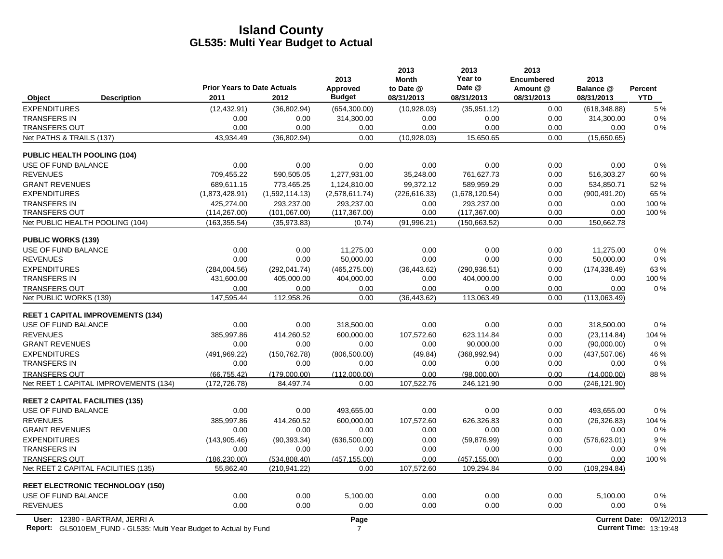|                                                | <b>Prior Years to Date Actuals</b> |                    | 2013<br>Approved | 2013<br><b>Month</b><br>to Date @ | 2013<br>Year to<br>Date @ | 2013<br><b>Encumbered</b><br>Amount @ | 2013<br>Balance @    | Percent    |
|------------------------------------------------|------------------------------------|--------------------|------------------|-----------------------------------|---------------------------|---------------------------------------|----------------------|------------|
| <b>Description</b><br>Object                   | 2011                               | 2012               | <b>Budget</b>    | 08/31/2013                        | 08/31/2013                | 08/31/2013                            | 08/31/2013           | <b>YTD</b> |
| <b>EXPENDITURES</b>                            | (12, 432.91)                       | (36,802.94)        | (654, 300.00)    | (10,928.03)                       | (35,951.12)               | 0.00                                  | (618, 348.88)        | 5 %        |
| <b>TRANSFERS IN</b>                            | 0.00                               | 0.00               | 314,300.00       | 0.00                              | 0.00                      | 0.00                                  | 314,300.00           | 0%         |
| <b>TRANSFERS OUT</b>                           | 0.00                               | 0.00               | 0.00             | 0.00                              | 0.00                      | 0.00                                  | 0.00                 | 0%         |
| Net PATHS & TRAILS (137)                       | 43,934.49                          | (36, 802.94)       | 0.00             | (10,928.03)                       | 15,650.65                 | 0.00                                  | (15,650.65)          |            |
| <b>PUBLIC HEALTH POOLING (104)</b>             |                                    |                    |                  |                                   |                           |                                       |                      |            |
| USE OF FUND BALANCE                            | 0.00                               | 0.00               | 0.00             | 0.00                              | 0.00                      | 0.00                                  | 0.00                 | 0%         |
| <b>REVENUES</b>                                | 709.455.22                         | 590.505.05         | 1,277,931.00     | 35.248.00                         | 761.627.73                | 0.00                                  | 516,303.27           | 60%        |
| <b>GRANT REVENUES</b>                          | 689.611.15                         | 773,465.25         | 1.124.810.00     | 99.372.12                         | 589.959.29                | 0.00                                  | 534,850.71           | 52%        |
| <b>EXPENDITURES</b>                            | (1,873,428.91)                     | (1,592,114.13)     | (2,578,611.74)   | (226, 616.33)                     | (1,678,120.54)            | 0.00                                  | (900, 491.20)        | 65 %       |
| <b>TRANSFERS IN</b>                            | 425,274.00                         | 293,237.00         | 293,237.00       | 0.00                              | 293,237.00                | 0.00                                  | 0.00                 | 100 %      |
| <b>TRANSFERS OUT</b>                           | (114, 267.00)                      | (101, 067.00)      | (117, 367.00)    | 0.00                              | (117, 367.00)             | 0.00                                  | 0.00                 | 100 %      |
| Net PUBLIC HEALTH POOLING (104)                | (163, 355.54)                      | (35,973.83)        | (0.74)           | (91, 996.21)                      | (150, 663.52)             | 0.00                                  | 150,662.78           |            |
| <b>PUBLIC WORKS (139)</b>                      |                                    |                    |                  |                                   |                           |                                       |                      |            |
| USE OF FUND BALANCE                            | 0.00                               | 0.00               | 11,275.00        | 0.00                              | 0.00                      | 0.00                                  | 11.275.00            | 0%         |
| <b>REVENUES</b>                                | 0.00                               | 0.00               | 50.000.00        | 0.00                              | 0.00                      | 0.00                                  | 50,000.00            | 0%         |
| <b>EXPENDITURES</b>                            | (284, 004.56)                      | (292, 041.74)      | (465, 275.00)    | (36, 443.62)                      | (290, 936.51)             | 0.00                                  | (174, 338.49)        | 63%        |
| <b>TRANSFERS IN</b>                            | 431,600.00                         | 405,000.00         | 404,000.00       | 0.00                              | 404,000.00                | 0.00                                  | 0.00                 | 100 %      |
| <b>TRANSFERS OUT</b><br>Net PUBLIC WORKS (139) | 0.00<br>147,595.44                 | 0.00<br>112,958.26 | 0.00<br>0.00     | 0.00<br>(36, 443.62)              | 0.00<br>113,063.49        | 0.00<br>0.00                          | 0.00<br>(113,063.49) | 0%         |
|                                                |                                    |                    |                  |                                   |                           |                                       |                      |            |
| <b>REET 1 CAPITAL IMPROVEMENTS (134)</b>       |                                    |                    |                  |                                   |                           |                                       |                      |            |
| USE OF FUND BALANCE                            | 0.00                               | 0.00               | 318,500.00       | 0.00                              | 0.00                      | 0.00                                  | 318,500.00           | 0%         |
| <b>REVENUES</b>                                | 385,997.86                         | 414,260.52         | 600,000.00       | 107,572.60                        | 623,114.84                | 0.00                                  | (23, 114.84)         | 104 %      |
| <b>GRANT REVENUES</b>                          | 0.00                               | 0.00               | 0.00             | 0.00                              | 90,000.00                 | 0.00                                  | (90,000.00)          | $0\%$      |
| <b>EXPENDITURES</b>                            | (491, 969.22)                      | (150, 762.78)      | (806, 500.00)    | (49.84)                           | (368, 992.94)             | 0.00                                  | (437, 507.06)        | 46 %       |
| <b>TRANSFERS IN</b>                            | 0.00                               | 0.00               | 0.00             | 0.00                              | 0.00                      | 0.00                                  | 0.00                 | 0%         |
| <b>TRANSFERS OUT</b>                           | (66, 755.42)                       | (179,000.00)       | (112.000.00)     | 0.00                              | (98.000.00)               | 0.00                                  | (14,000.00)          | 88%        |
| Net REET 1 CAPITAL IMPROVEMENTS (134)          | (172, 726.78)                      | 84,497.74          | 0.00             | 107,522.76                        | 246,121.90                | 0.00                                  | (246, 121.90)        |            |
| <b>REET 2 CAPITAL FACILITIES (135)</b>         |                                    |                    |                  |                                   |                           |                                       |                      |            |
| USE OF FUND BALANCE                            | 0.00                               | 0.00               | 493,655.00       | 0.00                              | 0.00                      | 0.00                                  | 493,655.00           | 0%         |
| <b>REVENUES</b>                                | 385,997.86                         | 414,260.52         | 600,000.00       | 107,572.60                        | 626,326.83                | 0.00                                  | (26, 326.83)         | 104 %      |
| <b>GRANT REVENUES</b>                          | 0.00                               | 0.00               | 0.00             | 0.00                              | 0.00                      | 0.00                                  | 0.00                 | $0\%$      |
| <b>EXPENDITURES</b>                            | (143, 905.46)                      | (90, 393.34)       | (636, 500.00)    | 0.00                              | (59, 876.99)              | 0.00                                  | (576, 623.01)        | 9%         |
| <b>TRANSFERS IN</b>                            | 0.00                               | 0.00               | 0.00             | 0.00                              | 0.00                      | 0.00                                  | 0.00                 | 0%         |
| <b>TRANSFERS OUT</b>                           | (186, 230.00)                      | (534, 808.40)      | (457, 155.00)    | 0.00                              | (457, 155.00)             | 0.00                                  | 0.00                 | 100 %      |
| Net REET 2 CAPITAL FACILITIES (135)            | 55,862.40                          | (210, 941.22)      | 0.00             | 107,572.60                        | 109,294.84                | 0.00                                  | (109, 294.84)        |            |
| <b>REET ELECTRONIC TECHNOLOGY (150)</b>        |                                    |                    |                  |                                   |                           |                                       |                      |            |
| USE OF FUND BALANCE                            | 0.00                               | 0.00               | 5,100.00         | 0.00                              | 0.00                      | 0.00                                  | 5,100.00             | 0%         |
| <b>REVENUES</b>                                | 0.00                               | 0.00               | 0.00             | 0.00                              | 0.00                      | 0.00                                  | 0.00                 | 0%         |
| User: 12380 - BARTRAM, JERRI A                 |                                    |                    | Page             |                                   |                           |                                       | <b>Current Date:</b> | 09/12/2013 |

**Report:** 7 **Current Time:** GL5010EM\_FUND - GL535: Multi Year Budget to Actual by Fund 13:19:48 (2008) 7 20:20 20:00:00 13:19:48 (2009) 7 20:00:00 13:19:48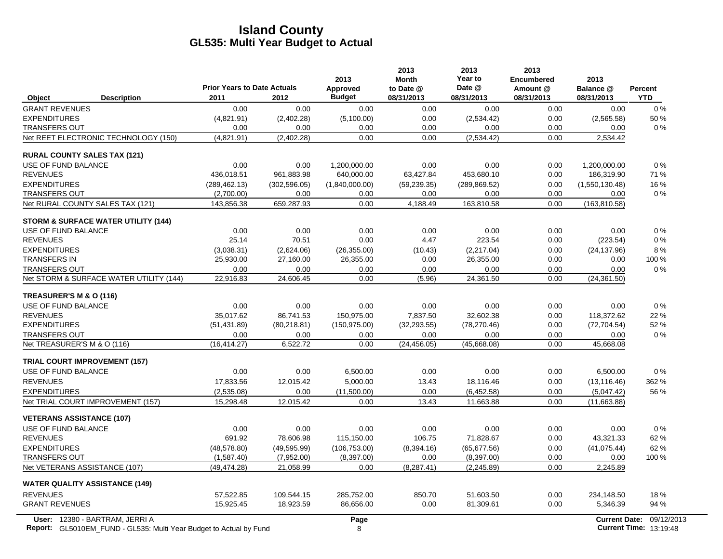|                                                                           | <b>Prior Years to Date Actuals</b> |               | 2013<br>Approved | 2013<br><b>Month</b><br>to Date @ | 2013<br>Year to<br>Date @ | 2013<br><b>Encumbered</b><br>Amount @ | 2013<br>Balance @ | Percent                       |
|---------------------------------------------------------------------------|------------------------------------|---------------|------------------|-----------------------------------|---------------------------|---------------------------------------|-------------------|-------------------------------|
| <b>Description</b><br>Object                                              | 2011                               | 2012          | <b>Budget</b>    | 08/31/2013                        | 08/31/2013                | 08/31/2013                            | 08/31/2013        | <b>YTD</b>                    |
| <b>GRANT REVENUES</b>                                                     | 0.00                               | 0.00          | 0.00             | 0.00                              | 0.00                      | 0.00                                  | 0.00              | $0\%$                         |
| <b>EXPENDITURES</b>                                                       | (4,821.91)                         | (2,402.28)    | (5,100.00)       | 0.00                              | (2,534.42)                | 0.00                                  | (2,565.58)        | 50 %                          |
| <b>TRANSFERS OUT</b>                                                      | 0.00                               | 0.00          | 0.00             | 0.00                              | 0.00                      | 0.00                                  | 0.00              | $0\%$                         |
| Net REET ELECTRONIC TECHNOLOGY (150)                                      | (4.821.91)                         | (2,402.28)    | 0.00             | 0.00                              | (2,534.42)                | 0.00                                  | 2,534.42          |                               |
| <b>RURAL COUNTY SALES TAX (121)</b>                                       |                                    |               |                  |                                   |                           |                                       |                   |                               |
| USE OF FUND BALANCE                                                       | 0.00                               | 0.00          | 1,200,000.00     | 0.00                              | 0.00                      | 0.00                                  | 1,200,000.00      | 0%                            |
| <b>REVENUES</b>                                                           | 436,018.51                         | 961,883.98    | 640,000.00       | 63,427.84                         | 453,680.10                | 0.00                                  | 186,319.90        | 71 %                          |
| <b>EXPENDITURES</b>                                                       | (289, 462.13)                      | (302, 596.05) | (1,840,000.00)   | (59, 239.35)                      | (289, 869.52)             | 0.00                                  | (1,550,130.48)    | 16 %                          |
| <b>TRANSFERS OUT</b>                                                      | (2,700.00)                         | 0.00          | 0.00             | 0.00                              | 0.00                      | 0.00                                  | 0.00              | $0\%$                         |
| Net RURAL COUNTY SALES TAX (121)                                          | 143,856.38                         | 659,287.93    | 0.00             | 4,188.49                          | 163,810.58                | 0.00                                  | (163, 810.58)     |                               |
| <b>STORM &amp; SURFACE WATER UTILITY (144)</b>                            |                                    |               |                  |                                   |                           |                                       |                   |                               |
| USE OF FUND BALANCE                                                       | 0.00                               | 0.00          | 0.00             | 0.00                              | 0.00                      | 0.00                                  | 0.00              | $0\%$                         |
| <b>REVENUES</b>                                                           | 25.14                              | 70.51         | 0.00             | 4.47                              | 223.54                    | 0.00                                  | (223.54)          | $0\%$                         |
| <b>EXPENDITURES</b>                                                       | (3,038.31)                         | (2,624.06)    | (26, 355.00)     | (10.43)                           | (2,217.04)                | 0.00                                  | (24, 137.96)      | 8%                            |
| <b>TRANSFERS IN</b>                                                       | 25,930.00                          | 27,160.00     | 26,355.00        | 0.00                              | 26,355.00                 | 0.00                                  | 0.00              | 100 %                         |
| <b>TRANSFERS OUT</b>                                                      | 0.00                               | 0.00          | 0.00             | 0.00                              | 0.00                      | 0.00                                  | 0.00              | 0%                            |
| Net STORM & SURFACE WATER UTILITY (144)                                   | 22,916.83                          | 24,606.45     | 0.00             | (5.96)                            | 24,361.50                 | 0.00                                  | (24, 361.50)      |                               |
| TREASURER'S M & O (116)                                                   |                                    |               |                  |                                   |                           |                                       |                   |                               |
| USE OF FUND BALANCE                                                       | 0.00                               | 0.00          | 0.00             | 0.00                              | 0.00                      | 0.00                                  | 0.00              | $0\%$                         |
| <b>REVENUES</b>                                                           | 35.017.62                          | 86.741.53     | 150.975.00       | 7.837.50                          | 32.602.38                 | 0.00                                  | 118.372.62        | 22 %                          |
| <b>EXPENDITURES</b>                                                       | (51, 431.89)                       | (80, 218.81)  | (150, 975.00)    | (32, 293.55)                      | (78, 270.46)              | 0.00                                  | (72, 704.54)      | 52 %                          |
| <b>TRANSFERS OUT</b>                                                      | 0.00                               | 0.00          | 0.00             | 0.00                              | 0.00                      | 0.00                                  | 0.00              | $0\%$                         |
| Net TREASURER'S M & O (116)                                               | (16, 414.27)                       | 6.522.72      | 0.00             | (24, 456.05)                      | (45,668.08)               | 0.00                                  | 45,668.08         |                               |
| <b>TRIAL COURT IMPROVEMENT (157)</b>                                      |                                    |               |                  |                                   |                           |                                       |                   |                               |
| USE OF FUND BALANCE                                                       | 0.00                               | 0.00          | 6,500.00         | 0.00                              | 0.00                      | 0.00                                  | 6,500.00          | 0%                            |
| <b>REVENUES</b>                                                           | 17,833.56                          | 12,015.42     | 5,000.00         | 13.43                             | 18,116.46                 | 0.00                                  | (13, 116.46)      | 362 %                         |
| <b>EXPENDITURES</b>                                                       | (2,535.08)                         | 0.00          | (11,500.00)      | 0.00                              | (6,452.58)                | 0.00                                  | (5,047.42)        | 56 %                          |
| Net TRIAL COURT IMPROVEMENT (157)                                         | 15,298.48                          | 12,015.42     | 0.00             | 13.43                             | 11,663.88                 | 0.00                                  | (11,663.88)       |                               |
| <b>VETERANS ASSISTANCE (107)</b>                                          |                                    |               |                  |                                   |                           |                                       |                   |                               |
| USE OF FUND BALANCE                                                       | 0.00                               | 0.00          | 0.00             | 0.00                              | 0.00                      | 0.00                                  | 0.00              | 0%                            |
| <b>REVENUES</b>                                                           | 691.92                             | 78,606.98     | 115,150.00       | 106.75                            | 71,828.67                 | 0.00                                  | 43,321.33         | 62 %                          |
| <b>EXPENDITURES</b>                                                       | (48,578.80)                        | (49, 595.99)  | (106, 753.00)    | (8,394.16)                        | (65, 677.56)              | 0.00                                  | (41, 075.44)      | 62%                           |
| <b>TRANSFERS OUT</b>                                                      | (1,587.40)                         | (7,952.00)    | (8,397.00)       | 0.00                              | (8, 397.00)               | 0.00                                  | 0.00              | 100 %                         |
| Net VETERANS ASSISTANCE (107)                                             | (49, 474.28)                       | 21,058.99     | 0.00             | (8, 287.41)                       | (2, 245.89)               | 0.00                                  | 2,245.89          |                               |
| <b>WATER QUALITY ASSISTANCE (149)</b>                                     |                                    |               |                  |                                   |                           |                                       |                   |                               |
| <b>REVENUES</b>                                                           | 57,522.85                          | 109,544.15    | 285,752.00       | 850.70                            | 51,603.50                 | 0.00                                  | 234,148.50        | 18%                           |
| <b>GRANT REVENUES</b>                                                     | 15,925.45                          | 18,923.59     | 86,656.00        | 0.00                              | 81,309.61                 | 0.00                                  | 5,346.39          | 94 %                          |
| User: 12380 - BARTRAM, JERRI A                                            |                                    |               | Page             |                                   |                           |                                       |                   | Current Date: 09/12/2013      |
| <b>Report:</b> GL5010EM_FUND - GL535: Multi Year Budget to Actual by Fund |                                    |               | 8                |                                   |                           |                                       |                   | <b>Current Time: 13:19:48</b> |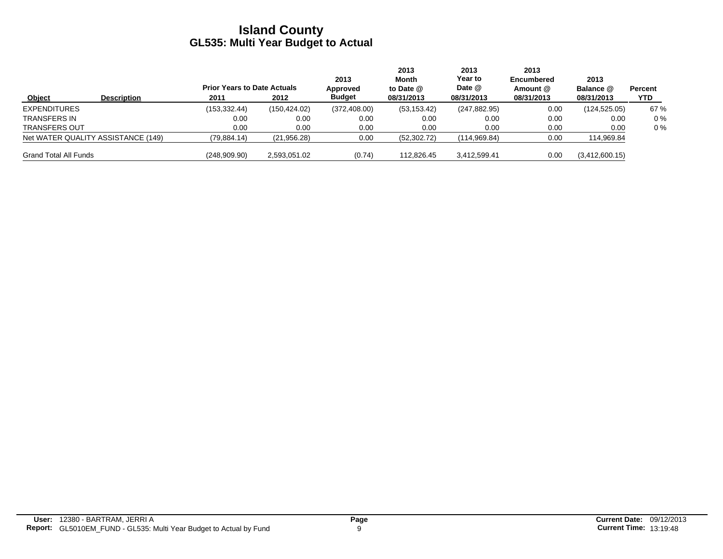|                              |                                    | <b>Prior Years to Date Actuals</b> |               | 2013<br>Approved | 2013<br>Month<br>to Date $@$ | 2013<br><b>Year to</b><br>Date @ | 2013<br><b>Encumbered</b><br>Amount @ | 2013<br>Balance @ | Percent |
|------------------------------|------------------------------------|------------------------------------|---------------|------------------|------------------------------|----------------------------------|---------------------------------------|-------------------|---------|
| Object                       | <b>Description</b>                 | 2011                               | 2012          | <b>Budget</b>    | 08/31/2013                   | 08/31/2013                       | 08/31/2013                            | 08/31/2013        | YTD     |
| <b>EXPENDITURES</b>          |                                    | (153, 332.44)                      | (150, 424.02) | (372, 408.00)    | (53, 153.42)                 | (247, 882.95)                    | 0.00                                  | (124, 525.05)     | 67 %    |
| TRANSFERS IN                 |                                    | 0.00                               | 0.00          | 0.00             | 0.00                         | 0.00                             | 0.00                                  | 0.00              | $0\%$   |
| <b>TRANSFERS OUT</b>         |                                    | 0.00                               | 0.00          | 0.00             | 0.00                         | 0.00                             | 0.00                                  | 0.00              | $0\%$   |
|                              | Net WATER QUALITY ASSISTANCE (149) | (79, 884.14)                       | (21, 956.28)  | 0.00             | (52, 302.72)                 | (114, 969.84)                    | 0.00                                  | 114,969.84        |         |
| <b>Grand Total All Funds</b> |                                    | (248,909.90)                       | 2,593,051.02  | (0.74)           | 112,826.45                   | 3,412,599.41                     | 0.00                                  | (3,412,600.15)    |         |